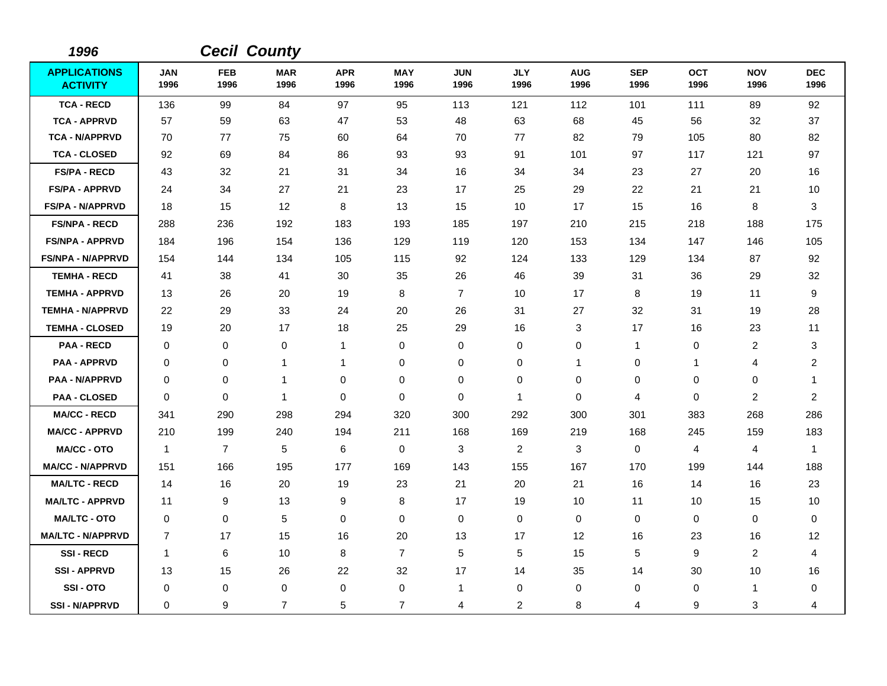| 1996                                   |                    |                    | <b>Cecil County</b> |                    |                    |                    |                    |                    |                    |                    |                    |                    |
|----------------------------------------|--------------------|--------------------|---------------------|--------------------|--------------------|--------------------|--------------------|--------------------|--------------------|--------------------|--------------------|--------------------|
| <b>APPLICATIONS</b><br><b>ACTIVITY</b> | <b>JAN</b><br>1996 | <b>FEB</b><br>1996 | <b>MAR</b><br>1996  | <b>APR</b><br>1996 | <b>MAY</b><br>1996 | <b>JUN</b><br>1996 | <b>JLY</b><br>1996 | <b>AUG</b><br>1996 | <b>SEP</b><br>1996 | <b>OCT</b><br>1996 | <b>NOV</b><br>1996 | <b>DEC</b><br>1996 |
| <b>TCA - RECD</b>                      | 136                | 99                 | 84                  | 97                 | 95                 | 113                | 121                | 112                | 101                | 111                | 89                 | 92                 |
| <b>TCA - APPRVD</b>                    | 57                 | 59                 | 63                  | 47                 | 53                 | 48                 | 63                 | 68                 | 45                 | 56                 | 32                 | 37                 |
| <b>TCA - N/APPRVD</b>                  | 70                 | 77                 | 75                  | 60                 | 64                 | 70                 | 77                 | 82                 | 79                 | 105                | 80                 | 82                 |
| <b>TCA - CLOSED</b>                    | 92                 | 69                 | 84                  | 86                 | 93                 | 93                 | 91                 | 101                | 97                 | 117                | 121                | 97                 |
| <b>FS/PA - RECD</b>                    | 43                 | 32                 | 21                  | 31                 | 34                 | 16                 | 34                 | 34                 | 23                 | 27                 | 20                 | 16                 |
| <b>FS/PA - APPRVD</b>                  | 24                 | 34                 | 27                  | 21                 | 23                 | 17                 | 25                 | 29                 | 22                 | 21                 | 21                 | 10                 |
| <b>FS/PA - N/APPRVD</b>                | 18                 | 15                 | 12                  | 8                  | 13                 | 15                 | 10                 | 17                 | 15                 | 16                 | 8                  | 3                  |
| <b>FS/NPA - RECD</b>                   | 288                | 236                | 192                 | 183                | 193                | 185                | 197                | 210                | 215                | 218                | 188                | 175                |
| <b>FS/NPA - APPRVD</b>                 | 184                | 196                | 154                 | 136                | 129                | 119                | 120                | 153                | 134                | 147                | 146                | 105                |
| <b>FS/NPA - N/APPRVD</b>               | 154                | 144                | 134                 | 105                | 115                | 92                 | 124                | 133                | 129                | 134                | 87                 | 92                 |
| <b>TEMHA - RECD</b>                    | 41                 | 38                 | 41                  | 30                 | 35                 | 26                 | 46                 | 39                 | 31                 | 36                 | 29                 | 32                 |
| <b>TEMHA - APPRVD</b>                  | 13                 | 26                 | 20                  | 19                 | 8                  | $\overline{7}$     | 10                 | 17                 | 8                  | 19                 | 11                 | 9                  |
| <b>TEMHA - N/APPRVD</b>                | 22                 | 29                 | 33                  | 24                 | 20                 | 26                 | 31                 | 27                 | 32                 | 31                 | 19                 | 28                 |
| <b>TEMHA - CLOSED</b>                  | 19                 | 20                 | 17                  | 18                 | 25                 | 29                 | 16                 | 3                  | 17                 | 16                 | 23                 | 11                 |
| <b>PAA - RECD</b>                      | $\mathbf 0$        | 0                  | $\mathbf 0$         | 1                  | 0                  | 0                  | 0                  | 0                  | 1                  | 0                  | $\overline{c}$     | 3                  |
| <b>PAA - APPRVD</b>                    | $\mathbf 0$        | 0                  | 1                   | 1                  | 0                  | 0                  | 0                  | $\mathbf{1}$       | 0                  | 1                  | 4                  | $\overline{2}$     |
| <b>PAA - N/APPRVD</b>                  | $\mathbf 0$        | 0                  | 1                   | 0                  | 0                  | 0                  | 0                  | 0                  | 0                  | 0                  | 0                  | -1                 |
| <b>PAA - CLOSED</b>                    | $\mathbf 0$        | 0                  | $\mathbf{1}$        | 0                  | 0                  | 0                  | $\mathbf{1}$       | 0                  | 4                  | 0                  | 2                  | $\overline{2}$     |
| <b>MA/CC - RECD</b>                    | 341                | 290                | 298                 | 294                | 320                | 300                | 292                | 300                | 301                | 383                | 268                | 286                |
| <b>MA/CC - APPRVD</b>                  | 210                | 199                | 240                 | 194                | 211                | 168                | 169                | 219                | 168                | 245                | 159                | 183                |
| <b>MA/CC - OTO</b>                     | $\mathbf{1}$       | $\overline{7}$     | $\sqrt{5}$          | 6                  | 0                  | 3                  | $\overline{2}$     | 3                  | 0                  | $\overline{4}$     | 4                  | $\mathbf 1$        |
| <b>MA/CC - N/APPRVD</b>                | 151                | 166                | 195                 | 177                | 169                | 143                | 155                | 167                | 170                | 199                | 144                | 188                |
| <b>MA/LTC - RECD</b>                   | 14                 | 16                 | 20                  | 19                 | 23                 | 21                 | 20                 | 21                 | 16                 | 14                 | 16                 | 23                 |
| <b>MA/LTC - APPRVD</b>                 | 11                 | 9                  | 13                  | 9                  | 8                  | 17                 | 19                 | 10                 | 11                 | 10                 | 15                 | 10                 |
| <b>MA/LTC - OTO</b>                    | $\mathbf 0$        | 0                  | $\sqrt{5}$          | 0                  | $\pmb{0}$          | 0                  | 0                  | $\mathbf 0$        | 0                  | 0                  | 0                  | 0                  |
| <b>MA/LTC - N/APPRVD</b>               | $\overline{7}$     | 17                 | 15                  | 16                 | 20                 | 13                 | 17                 | 12                 | 16                 | 23                 | 16                 | 12                 |
| <b>SSI-RECD</b>                        | $\overline{1}$     | 6                  | 10                  | 8                  | $\overline{7}$     | 5                  | 5                  | 15                 | 5                  | 9                  | $\overline{c}$     | 4                  |
| <b>SSI-APPRVD</b>                      | 13                 | 15                 | 26                  | 22                 | 32                 | 17                 | 14                 | 35                 | 14                 | 30                 | 10                 | 16                 |
| SSI-OTO                                | 0                  | 0                  | $\mathbf 0$         | 0                  | $\,0\,$            | $\mathbf{1}$       | 0                  | 0                  | 0                  | 0                  | 1                  | 0                  |
| <b>SSI - N/APPRVD</b>                  | $\Omega$           | 9                  | $\overline{7}$      | 5                  | $\overline{7}$     | 4                  | $\overline{2}$     | 8                  | 4                  | 9                  | 3                  | 4                  |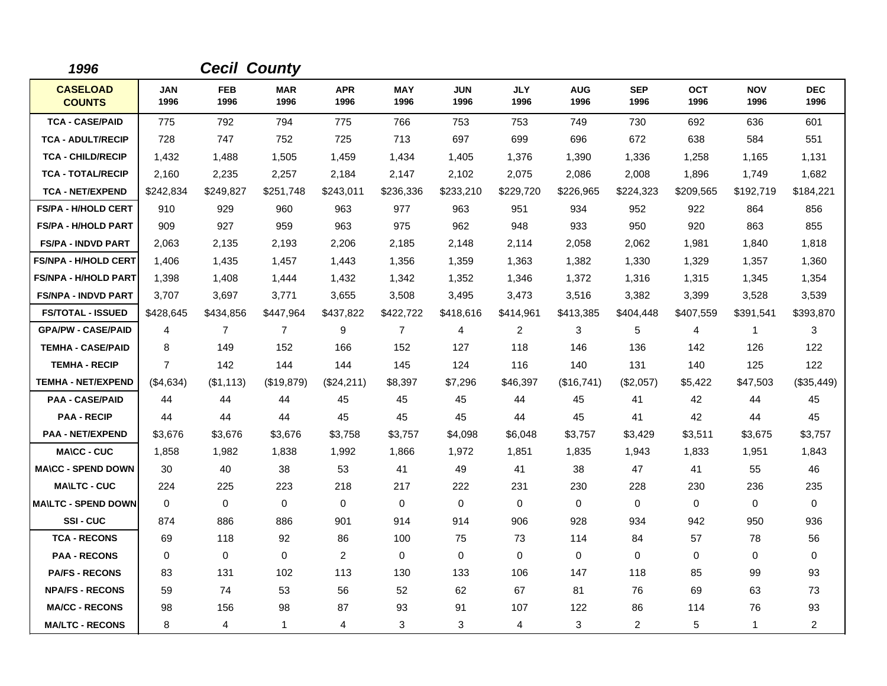| 1996                             |                    |                    | <b>Cecil County</b> |                    |                    |                    |                    |                    |                    |                    |                    |                    |
|----------------------------------|--------------------|--------------------|---------------------|--------------------|--------------------|--------------------|--------------------|--------------------|--------------------|--------------------|--------------------|--------------------|
| <b>CASELOAD</b><br><b>COUNTS</b> | <b>JAN</b><br>1996 | <b>FEB</b><br>1996 | <b>MAR</b><br>1996  | <b>APR</b><br>1996 | <b>MAY</b><br>1996 | <b>JUN</b><br>1996 | <b>JLY</b><br>1996 | <b>AUG</b><br>1996 | <b>SEP</b><br>1996 | <b>OCT</b><br>1996 | <b>NOV</b><br>1996 | <b>DEC</b><br>1996 |
| <b>TCA - CASE/PAID</b>           | 775                | 792                | 794                 | 775                | 766                | 753                | 753                | 749                | 730                | 692                | 636                | 601                |
| <b>TCA - ADULT/RECIP</b>         | 728                | 747                | 752                 | 725                | 713                | 697                | 699                | 696                | 672                | 638                | 584                | 551                |
| <b>TCA - CHILD/RECIP</b>         | 1,432              | 1,488              | 1,505               | 1,459              | 1,434              | 1,405              | 1,376              | 1,390              | 1,336              | 1,258              | 1,165              | 1,131              |
| <b>TCA - TOTAL/RECIP</b>         | 2,160              | 2,235              | 2,257               | 2,184              | 2,147              | 2,102              | 2,075              | 2,086              | 2,008              | 1,896              | 1,749              | 1,682              |
| <b>TCA - NET/EXPEND</b>          | \$242,834          | \$249,827          | \$251,748           | \$243,011          | \$236,336          | \$233,210          | \$229,720          | \$226,965          | \$224,323          | \$209,565          | \$192,719          | \$184,221          |
| <b>FS/PA - H/HOLD CERT</b>       | 910                | 929                | 960                 | 963                | 977                | 963                | 951                | 934                | 952                | 922                | 864                | 856                |
| <b>FS/PA - H/HOLD PART</b>       | 909                | 927                | 959                 | 963                | 975                | 962                | 948                | 933                | 950                | 920                | 863                | 855                |
| <b>FS/PA - INDVD PART</b>        | 2,063              | 2,135              | 2,193               | 2,206              | 2,185              | 2,148              | 2,114              | 2,058              | 2,062              | 1,981              | 1,840              | 1,818              |
| <b>FS/NPA - H/HOLD CERT</b>      | 1,406              | 1,435              | 1,457               | 1,443              | 1,356              | 1,359              | 1,363              | 1,382              | 1,330              | 1,329              | 1,357              | 1,360              |
| <b>FS/NPA - H/HOLD PART</b>      | 1,398              | 1,408              | 1,444               | 1,432              | 1,342              | 1,352              | 1,346              | 1,372              | 1,316              | 1,315              | 1,345              | 1,354              |
| <b>FS/NPA - INDVD PART</b>       | 3,707              | 3,697              | 3,771               | 3,655              | 3,508              | 3,495              | 3,473              | 3,516              | 3,382              | 3,399              | 3,528              | 3,539              |
| <b>FS/TOTAL - ISSUED</b>         | \$428,645          | \$434,856          | \$447,964           | \$437,822          | \$422,722          | \$418,616          | \$414,961          | \$413,385          | \$404,448          | \$407,559          | \$391,541          | \$393,870          |
| <b>GPA/PW - CASE/PAID</b>        | 4                  | $\overline{7}$     | $\overline{7}$      | 9                  | $\overline{7}$     | 4                  | $\overline{c}$     | 3                  | 5                  | 4                  | $\mathbf{1}$       | 3                  |
| <b>TEMHA - CASE/PAID</b>         | 8                  | 149                | 152                 | 166                | 152                | 127                | 118                | 146                | 136                | 142                | 126                | 122                |
| <b>TEMHA - RECIP</b>             | $\overline{7}$     | 142                | 144                 | 144                | 145                | 124                | 116                | 140                | 131                | 140                | 125                | 122                |
| <b>TEMHA - NET/EXPEND</b>        | $(\$4,634)$        | (\$1,113)          | (\$19,879)          | $(\$24,211)$       | \$8,397            | \$7,296            | \$46,397           | (\$16,741)         | $(\$2,057)$        | \$5,422            | \$47,503           | (\$35,449)         |
| <b>PAA - CASE/PAID</b>           | 44                 | 44                 | 44                  | 45                 | 45                 | 45                 | 44                 | 45                 | 41                 | 42                 | 44                 | 45                 |
| <b>PAA - RECIP</b>               | 44                 | 44                 | 44                  | 45                 | 45                 | 45                 | 44                 | 45                 | 41                 | 42                 | 44                 | 45                 |
| <b>PAA - NET/EXPEND</b>          | \$3,676            | \$3,676            | \$3,676             | \$3,758            | \$3,757            | \$4,098            | \$6,048            | \$3,757            | \$3,429            | \$3,511            | \$3,675            | \$3,757            |
| <b>MA\CC - CUC</b>               | 1,858              | 1,982              | 1,838               | 1,992              | 1,866              | 1,972              | 1,851              | 1,835              | 1,943              | 1,833              | 1,951              | 1,843              |
| <b>MA\CC - SPEND DOWN</b>        | 30                 | 40                 | 38                  | 53                 | 41                 | 49                 | 41                 | 38                 | 47                 | 41                 | 55                 | 46                 |
| <b>MAILTC - CUC</b>              | 224                | 225                | 223                 | 218                | 217                | 222                | 231                | 230                | 228                | 230                | 236                | 235                |
| <b>MA\LTC - SPEND DOWN</b>       | $\mathbf 0$        | 0                  | $\mathbf 0$         | $\mathbf 0$        | 0                  | $\mathbf 0$        | $\mathbf 0$        | 0                  | $\mathbf 0$        | 0                  | $\mathbf 0$        | $\mathbf 0$        |
| SSI-CUC                          | 874                | 886                | 886                 | 901                | 914                | 914                | 906                | 928                | 934                | 942                | 950                | 936                |
| <b>TCA - RECONS</b>              | 69                 | 118                | 92                  | 86                 | 100                | 75                 | 73                 | 114                | 84                 | 57                 | 78                 | 56                 |
| <b>PAA - RECONS</b>              | $\Omega$           | 0                  | $\Omega$            | $\overline{2}$     | 0                  | $\Omega$           | $\Omega$           | 0                  | $\Omega$           | $\Omega$           | 0                  | 0                  |
| <b>PA/FS - RECONS</b>            | 83                 | 131                | 102                 | 113                | 130                | 133                | 106                | 147                | 118                | 85                 | 99                 | 93                 |
| <b>NPA/FS - RECONS</b>           | 59                 | 74                 | 53                  | 56                 | 52                 | 62                 | 67                 | 81                 | 76                 | 69                 | 63                 | 73                 |
| <b>MA/CC - RECONS</b>            | 98                 | 156                | 98                  | 87                 | 93                 | 91                 | 107                | 122                | 86                 | 114                | 76                 | 93                 |
| <b>MA/LTC - RECONS</b>           | 8                  | 4                  | $\mathbf{1}$        | 4                  | 3                  | 3                  | 4                  | 3                  | $\overline{c}$     | 5                  | $\mathbf{1}$       | $\overline{a}$     |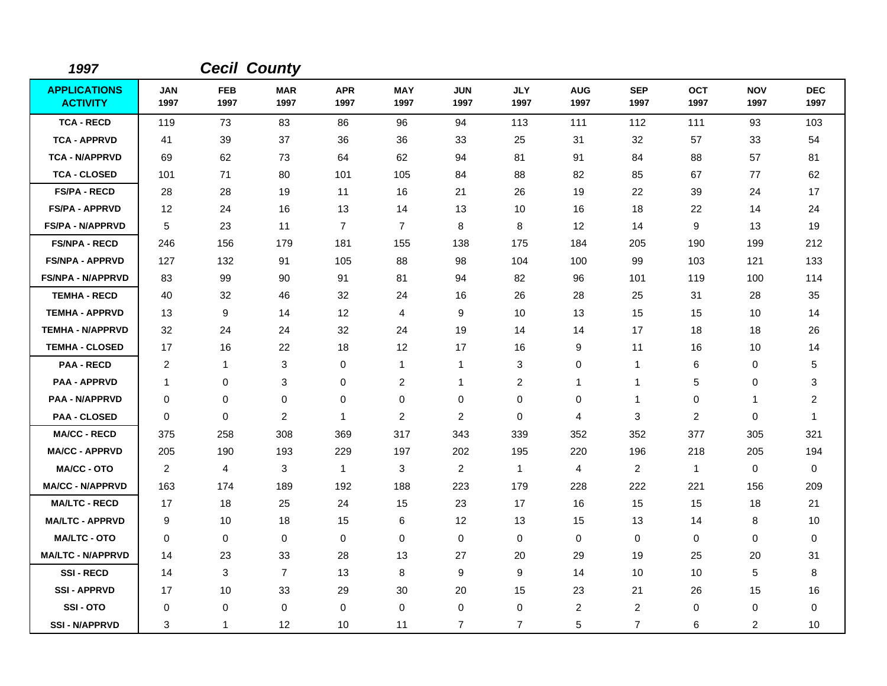| 1997                                   |                    |                    | <b>Cecil County</b> |                    |                    |                    |                    |                    |                    |                    |                    |                         |
|----------------------------------------|--------------------|--------------------|---------------------|--------------------|--------------------|--------------------|--------------------|--------------------|--------------------|--------------------|--------------------|-------------------------|
| <b>APPLICATIONS</b><br><b>ACTIVITY</b> | <b>JAN</b><br>1997 | <b>FEB</b><br>1997 | <b>MAR</b><br>1997  | <b>APR</b><br>1997 | <b>MAY</b><br>1997 | <b>JUN</b><br>1997 | <b>JLY</b><br>1997 | <b>AUG</b><br>1997 | <b>SEP</b><br>1997 | <b>OCT</b><br>1997 | <b>NOV</b><br>1997 | <b>DEC</b><br>1997      |
| <b>TCA - RECD</b>                      | 119                | 73                 | 83                  | 86                 | 96                 | 94                 | 113                | 111                | 112                | 111                | 93                 | 103                     |
| <b>TCA - APPRVD</b>                    | 41                 | 39                 | 37                  | 36                 | 36                 | 33                 | 25                 | 31                 | 32                 | 57                 | 33                 | 54                      |
| <b>TCA - N/APPRVD</b>                  | 69                 | 62                 | 73                  | 64                 | 62                 | 94                 | 81                 | 91                 | 84                 | 88                 | 57                 | 81                      |
| <b>TCA - CLOSED</b>                    | 101                | 71                 | 80                  | 101                | 105                | 84                 | 88                 | 82                 | 85                 | 67                 | 77                 | 62                      |
| <b>FS/PA - RECD</b>                    | 28                 | 28                 | 19                  | 11                 | 16                 | 21                 | 26                 | 19                 | 22                 | 39                 | 24                 | 17                      |
| <b>FS/PA - APPRVD</b>                  | 12                 | 24                 | 16                  | 13                 | 14                 | 13                 | 10                 | 16                 | 18                 | 22                 | 14                 | 24                      |
| <b>FS/PA - N/APPRVD</b>                | 5                  | 23                 | 11                  | $\overline{7}$     | $\overline{7}$     | 8                  | 8                  | 12                 | 14                 | 9                  | 13                 | 19                      |
| <b>FS/NPA - RECD</b>                   | 246                | 156                | 179                 | 181                | 155                | 138                | 175                | 184                | 205                | 190                | 199                | 212                     |
| <b>FS/NPA - APPRVD</b>                 | 127                | 132                | 91                  | 105                | 88                 | 98                 | 104                | 100                | 99                 | 103                | 121                | 133                     |
| <b>FS/NPA - N/APPRVD</b>               | 83                 | 99                 | 90                  | 91                 | 81                 | 94                 | 82                 | 96                 | 101                | 119                | 100                | 114                     |
| <b>TEMHA - RECD</b>                    | 40                 | 32                 | 46                  | 32                 | 24                 | 16                 | 26                 | 28                 | 25                 | 31                 | 28                 | 35                      |
| <b>TEMHA - APPRVD</b>                  | 13                 | 9                  | 14                  | 12                 | 4                  | $\boldsymbol{9}$   | 10                 | 13                 | 15                 | 15                 | 10                 | 14                      |
| <b>TEMHA - N/APPRVD</b>                | 32                 | 24                 | 24                  | 32                 | 24                 | 19                 | 14                 | 14                 | 17                 | 18                 | 18                 | 26                      |
| <b>TEMHA - CLOSED</b>                  | 17                 | 16                 | 22                  | 18                 | 12                 | 17                 | 16                 | 9                  | 11                 | 16                 | 10                 | 14                      |
| <b>PAA - RECD</b>                      | 2                  | $\mathbf{1}$       | 3                   | $\mathbf 0$        | $\mathbf{1}$       | $\mathbf{1}$       | 3                  | $\mathbf 0$        | $\mathbf 1$        | 6                  | $\mathbf 0$        | 5                       |
| <b>PAA - APPRVD</b>                    | $\mathbf 1$        | $\pmb{0}$          | 3                   | 0                  | $\overline{c}$     | 1                  | $\overline{2}$     | $\mathbf{1}$       | $\mathbf 1$        | 5                  | $\mathbf 0$        | 3                       |
| <b>PAA - N/APPRVD</b>                  | $\mathbf 0$        | 0                  | 0                   | $\mathbf 0$        | 0                  | $\mathbf 0$        | 0                  | 0                  | $\overline{1}$     | 0                  | $\mathbf{1}$       | $\overline{\mathbf{c}}$ |
| <b>PAA - CLOSED</b>                    | $\mathbf 0$        | 0                  | $\overline{c}$      | 1                  | $\overline{c}$     | 2                  | 0                  | 4                  | 3                  | $\overline{2}$     | 0                  | $\mathbf{1}$            |
| <b>MA/CC - RECD</b>                    | 375                | 258                | 308                 | 369                | 317                | 343                | 339                | 352                | 352                | 377                | 305                | 321                     |
| <b>MA/CC - APPRVD</b>                  | 205                | 190                | 193                 | 229                | 197                | 202                | 195                | 220                | 196                | 218                | 205                | 194                     |
| <b>MA/CC - OTO</b>                     | $\overline{c}$     | 4                  | 3                   | $\mathbf{1}$       | 3                  | $\overline{c}$     | $\mathbf{1}$       | $\overline{4}$     | 2                  | $\mathbf{1}$       | $\mathbf 0$        | $\mathbf 0$             |
| <b>MA/CC - N/APPRVD</b>                | 163                | 174                | 189                 | 192                | 188                | 223                | 179                | 228                | 222                | 221                | 156                | 209                     |
| <b>MA/LTC - RECD</b>                   | 17                 | 18                 | 25                  | 24                 | 15                 | 23                 | 17                 | 16                 | 15                 | 15                 | 18                 | 21                      |
| <b>MA/LTC - APPRVD</b>                 | 9                  | 10                 | 18                  | 15                 | 6                  | 12                 | 13                 | 15                 | 13                 | 14                 | 8                  | 10                      |
| <b>MA/LTC - OTO</b>                    | $\mathbf 0$        | 0                  | $\mathbf 0$         | $\mathbf 0$        | $\mathbf 0$        | $\mathbf 0$        | $\mathbf 0$        | 0                  | $\mathbf 0$        | 0                  | 0                  | 0                       |
| <b>MA/LTC - N/APPRVD</b>               | 14                 | 23                 | 33                  | 28                 | 13                 | 27                 | 20                 | 29                 | 19                 | 25                 | 20                 | 31                      |
| <b>SSI-RECD</b>                        | 14                 | 3                  | $\overline{7}$      | 13                 | 8                  | 9                  | 9                  | 14                 | 10                 | 10                 | 5                  | 8                       |
| <b>SSI - APPRVD</b>                    | 17                 | 10                 | 33                  | 29                 | 30                 | 20                 | 15                 | 23                 | 21                 | 26                 | 15                 | 16                      |
| SSI-OTO                                | 0                  | 0                  | $\mathbf 0$         | $\mathbf 0$        | 0                  | $\mathbf 0$        | 0                  | 2                  | $\overline{c}$     | 0                  | $\mathbf 0$        | 0                       |
| <b>SSI-N/APPRVD</b>                    | 3                  | $\mathbf{1}$       | 12                  | 10                 | 11                 | 7                  | $\overline{7}$     | 5                  | $\overline{7}$     | 6                  | $\overline{2}$     | 10                      |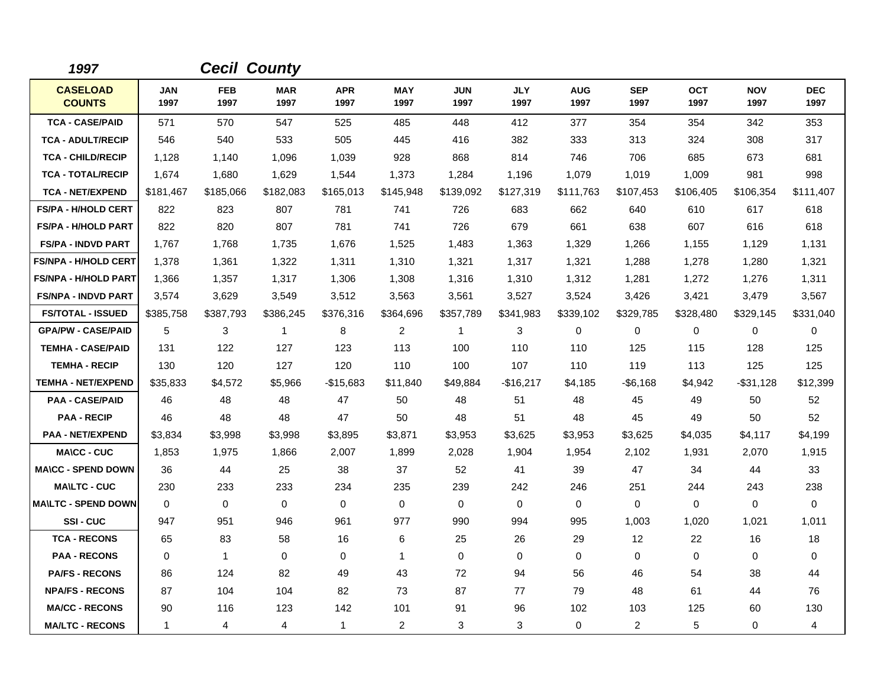| 1997                             |                    | <b>Cecil County</b> |                    |                    |                    |                    |                    |                    |                    |                    |                    |                    |
|----------------------------------|--------------------|---------------------|--------------------|--------------------|--------------------|--------------------|--------------------|--------------------|--------------------|--------------------|--------------------|--------------------|
| <b>CASELOAD</b><br><b>COUNTS</b> | <b>JAN</b><br>1997 | <b>FEB</b><br>1997  | <b>MAR</b><br>1997 | <b>APR</b><br>1997 | <b>MAY</b><br>1997 | <b>JUN</b><br>1997 | <b>JLY</b><br>1997 | <b>AUG</b><br>1997 | <b>SEP</b><br>1997 | <b>OCT</b><br>1997 | <b>NOV</b><br>1997 | <b>DEC</b><br>1997 |
| <b>TCA - CASE/PAID</b>           | 571                | 570                 | 547                | 525                | 485                | 448                | 412                | 377                | 354                | 354                | 342                | 353                |
| <b>TCA - ADULT/RECIP</b>         | 546                | 540                 | 533                | 505                | 445                | 416                | 382                | 333                | 313                | 324                | 308                | 317                |
| <b>TCA - CHILD/RECIP</b>         | 1,128              | 1,140               | 1,096              | 1,039              | 928                | 868                | 814                | 746                | 706                | 685                | 673                | 681                |
| <b>TCA - TOTAL/RECIP</b>         | 1,674              | 1,680               | 1,629              | 1,544              | 1,373              | 1,284              | 1,196              | 1,079              | 1,019              | 1,009              | 981                | 998                |
| <b>TCA - NET/EXPEND</b>          | \$181,467          | \$185,066           | \$182,083          | \$165,013          | \$145,948          | \$139,092          | \$127,319          | \$111,763          | \$107,453          | \$106,405          | \$106,354          | \$111,407          |
| <b>FS/PA - H/HOLD CERT</b>       | 822                | 823                 | 807                | 781                | 741                | 726                | 683                | 662                | 640                | 610                | 617                | 618                |
| <b>FS/PA - H/HOLD PART</b>       | 822                | 820                 | 807                | 781                | 741                | 726                | 679                | 661                | 638                | 607                | 616                | 618                |
| <b>FS/PA - INDVD PART</b>        | 1,767              | 1,768               | 1,735              | 1,676              | 1,525              | 1,483              | 1,363              | 1,329              | 1,266              | 1,155              | 1,129              | 1,131              |
| <b>FS/NPA - H/HOLD CERT</b>      | 1,378              | 1,361               | 1,322              | 1,311              | 1,310              | 1,321              | 1,317              | 1,321              | 1,288              | 1,278              | 1,280              | 1,321              |
| <b>FS/NPA - H/HOLD PART</b>      | 1,366              | 1,357               | 1,317              | 1,306              | 1,308              | 1,316              | 1,310              | 1,312              | 1,281              | 1,272              | 1,276              | 1,311              |
| <b>FS/NPA - INDVD PART</b>       | 3,574              | 3,629               | 3,549              | 3,512              | 3,563              | 3,561              | 3,527              | 3,524              | 3,426              | 3,421              | 3,479              | 3,567              |
| <b>FS/TOTAL - ISSUED</b>         | \$385,758          | \$387,793           | \$386,245          | \$376,316          | \$364,696          | \$357,789          | \$341,983          | \$339,102          | \$329,785          | \$328,480          | \$329,145          | \$331,040          |
| <b>GPA/PW - CASE/PAID</b>        | 5                  | 3                   | $\mathbf{1}$       | 8                  | $\overline{c}$     | 1                  | 3                  | 0                  | $\pmb{0}$          | 0                  | 0                  | 0                  |
| <b>TEMHA - CASE/PAID</b>         | 131                | 122                 | 127                | 123                | 113                | 100                | 110                | 110                | 125                | 115                | 128                | 125                |
| <b>TEMHA - RECIP</b>             | 130                | 120                 | 127                | 120                | 110                | 100                | 107                | 110                | 119                | 113                | 125                | 125                |
| <b>TEMHA - NET/EXPEND</b>        | \$35,833           | \$4,572             | \$5,966            | $-$15,683$         | \$11,840           | \$49,884           | -\$16,217          | \$4,185            | $-$ \$6,168        | \$4,942            | -\$31,128          | \$12,399           |
| <b>PAA - CASE/PAID</b>           | 46                 | 48                  | 48                 | 47                 | 50                 | 48                 | 51                 | 48                 | 45                 | 49                 | 50                 | 52                 |
| <b>PAA - RECIP</b>               | 46                 | 48                  | 48                 | 47                 | 50                 | 48                 | 51                 | 48                 | 45                 | 49                 | 50                 | 52                 |
| <b>PAA - NET/EXPEND</b>          | \$3,834            | \$3.998             | \$3,998            | \$3,895            | \$3,871            | \$3,953            | \$3,625            | \$3,953            | \$3,625            | \$4,035            | \$4,117            | \$4,199            |
| <b>MA\CC - CUC</b>               | 1,853              | 1,975               | 1,866              | 2,007              | 1,899              | 2,028              | 1,904              | 1,954              | 2,102              | 1,931              | 2,070              | 1,915              |
| <b>MA\CC - SPEND DOWN</b>        | 36                 | 44                  | 25                 | 38                 | 37                 | 52                 | 41                 | 39                 | 47                 | 34                 | 44                 | 33                 |
| <b>MA\LTC - CUC</b>              | 230                | 233                 | 233                | 234                | 235                | 239                | 242                | 246                | 251                | 244                | 243                | 238                |
| <b>MA\LTC - SPEND DOWN</b>       | $\mathbf 0$        | 0                   | $\mathbf 0$        | $\mathbf 0$        | $\mathbf 0$        | $\mathbf 0$        | $\mathbf 0$        | $\mathbf 0$        | $\Omega$           | 0                  | $\mathbf 0$        | $\Omega$           |
| SSI-CUC                          | 947                | 951                 | 946                | 961                | 977                | 990                | 994                | 995                | 1,003              | 1,020              | 1,021              | 1,011              |
| <b>TCA - RECONS</b>              | 65                 | 83                  | 58                 | 16                 | 6                  | 25                 | 26                 | 29                 | $12 \overline{ }$  | 22                 | 16                 | 18                 |
| <b>PAA - RECONS</b>              | $\Omega$           | $\mathbf{1}$        | $\mathbf 0$        | $\Omega$           | $\mathbf{1}$       | $\Omega$           | $\Omega$           | 0                  | $\mathbf 0$        | $\Omega$           | 0                  | 0                  |
| <b>PA/FS - RECONS</b>            | 86                 | 124                 | 82                 | 49                 | 43                 | 72                 | 94                 | 56                 | 46                 | 54                 | 38                 | 44                 |
| <b>NPA/FS - RECONS</b>           | 87                 | 104                 | 104                | 82                 | 73                 | 87                 | 77                 | 79                 | 48                 | 61                 | 44                 | 76                 |
| <b>MA/CC - RECONS</b>            | 90                 | 116                 | 123                | 142                | 101                | 91                 | 96                 | 102                | 103                | 125                | 60                 | 130                |
| <b>MA/LTC - RECONS</b>           | $\mathbf 1$        | $\overline{4}$      | $\overline{4}$     | $\mathbf{1}$       | 2                  | 3                  | 3                  | 0                  | $\overline{2}$     | 5                  | 0                  | 4                  |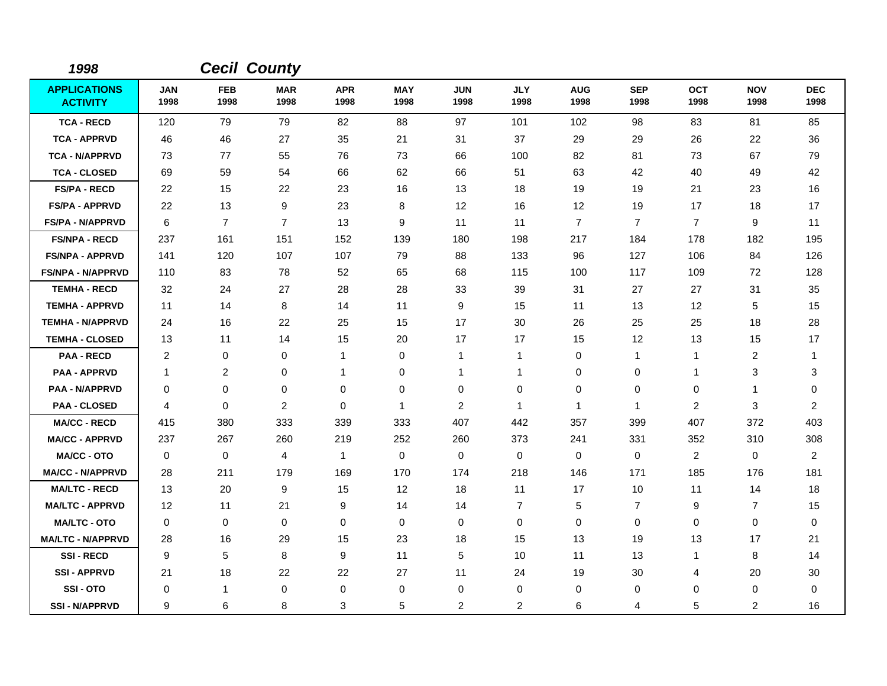| 1998                                   |                    |                    | <b>Cecil County</b> |                    |                    |                    |                    |                    |                    |                    |                    |                    |
|----------------------------------------|--------------------|--------------------|---------------------|--------------------|--------------------|--------------------|--------------------|--------------------|--------------------|--------------------|--------------------|--------------------|
| <b>APPLICATIONS</b><br><b>ACTIVITY</b> | <b>JAN</b><br>1998 | <b>FEB</b><br>1998 | <b>MAR</b><br>1998  | <b>APR</b><br>1998 | <b>MAY</b><br>1998 | <b>JUN</b><br>1998 | <b>JLY</b><br>1998 | <b>AUG</b><br>1998 | <b>SEP</b><br>1998 | <b>OCT</b><br>1998 | <b>NOV</b><br>1998 | <b>DEC</b><br>1998 |
| <b>TCA - RECD</b>                      | 120                | 79                 | 79                  | 82                 | 88                 | 97                 | 101                | 102                | 98                 | 83                 | 81                 | 85                 |
| <b>TCA - APPRVD</b>                    | 46                 | 46                 | 27                  | 35                 | 21                 | 31                 | 37                 | 29                 | 29                 | 26                 | 22                 | 36                 |
| <b>TCA - N/APPRVD</b>                  | 73                 | 77                 | 55                  | 76                 | 73                 | 66                 | 100                | 82                 | 81                 | 73                 | 67                 | 79                 |
| <b>TCA - CLOSED</b>                    | 69                 | 59                 | 54                  | 66                 | 62                 | 66                 | 51                 | 63                 | 42                 | 40                 | 49                 | 42                 |
| <b>FS/PA - RECD</b>                    | 22                 | 15                 | 22                  | 23                 | 16                 | 13                 | 18                 | 19                 | 19                 | 21                 | 23                 | 16                 |
| <b>FS/PA - APPRVD</b>                  | 22                 | 13                 | 9                   | 23                 | 8                  | 12                 | 16                 | 12                 | 19                 | 17                 | 18                 | 17                 |
| <b>FS/PA - N/APPRVD</b>                | 6                  | $\overline{7}$     | $\overline{7}$      | 13                 | 9                  | 11                 | 11                 | $\overline{7}$     | $\overline{7}$     | $\overline{7}$     | 9                  | 11                 |
| <b>FS/NPA - RECD</b>                   | 237                | 161                | 151                 | 152                | 139                | 180                | 198                | 217                | 184                | 178                | 182                | 195                |
| <b>FS/NPA - APPRVD</b>                 | 141                | 120                | 107                 | 107                | 79                 | 88                 | 133                | 96                 | 127                | 106                | 84                 | 126                |
| <b>FS/NPA - N/APPRVD</b>               | 110                | 83                 | 78                  | 52                 | 65                 | 68                 | 115                | 100                | 117                | 109                | 72                 | 128                |
| <b>TEMHA - RECD</b>                    | 32                 | 24                 | 27                  | 28                 | 28                 | 33                 | 39                 | 31                 | 27                 | 27                 | 31                 | 35                 |
| <b>TEMHA - APPRVD</b>                  | 11                 | 14                 | 8                   | 14                 | 11                 | 9                  | 15                 | 11                 | 13                 | 12                 | 5                  | 15                 |
| <b>TEMHA - N/APPRVD</b>                | 24                 | 16                 | 22                  | 25                 | 15                 | 17                 | 30                 | 26                 | 25                 | 25                 | 18                 | 28                 |
| <b>TEMHA - CLOSED</b>                  | 13                 | 11                 | 14                  | 15                 | 20                 | 17                 | 17                 | 15                 | 12                 | 13                 | 15                 | 17                 |
| <b>PAA - RECD</b>                      | $\overline{c}$     | 0                  | 0                   | $\mathbf{1}$       | 0                  | 1                  | $\mathbf{1}$       | 0                  | $\mathbf{1}$       | $\mathbf{1}$       | $\overline{c}$     | $\mathbf{1}$       |
| <b>PAA - APPRVD</b>                    | $\mathbf{1}$       | 2                  | 0                   | 1                  | 0                  | 1                  | 1                  | 0                  | 0                  | 1                  | 3                  | 3                  |
| <b>PAA - N/APPRVD</b>                  | 0                  | 0                  | 0                   | 0                  | 0                  | 0                  | 0                  | 0                  | $\mathbf 0$        | 0                  | $\mathbf{1}$       | 0                  |
| <b>PAA - CLOSED</b>                    | 4                  | $\mathbf 0$        | 2                   | $\Omega$           | $\mathbf{1}$       | 2                  | $\mathbf{1}$       | $\mathbf 1$        | $\mathbf{1}$       | 2                  | 3                  | $\overline{a}$     |
| <b>MA/CC - RECD</b>                    | 415                | 380                | 333                 | 339                | 333                | 407                | 442                | 357                | 399                | 407                | 372                | 403                |
| <b>MA/CC - APPRVD</b>                  | 237                | 267                | 260                 | 219                | 252                | 260                | 373                | 241                | 331                | 352                | 310                | 308                |
| <b>MA/CC - OTO</b>                     | 0                  | 0                  | 4                   | $\mathbf{1}$       | 0                  | 0                  | $\mathbf 0$        | 0                  | 0                  | $\overline{2}$     | 0                  | $\overline{2}$     |
| <b>MA/CC - N/APPRVD</b>                | 28                 | 211                | 179                 | 169                | 170                | 174                | 218                | 146                | 171                | 185                | 176                | 181                |
| <b>MA/LTC - RECD</b>                   | 13                 | 20                 | 9                   | 15                 | 12                 | 18                 | 11                 | 17                 | 10                 | 11                 | 14                 | 18                 |
| <b>MA/LTC - APPRVD</b>                 | 12                 | 11                 | 21                  | 9                  | 14                 | 14                 | $\overline{7}$     | 5                  | $\overline{7}$     | 9                  | $\overline{7}$     | 15                 |
| <b>MA/LTC - OTO</b>                    | 0                  | 0                  | $\mathbf 0$         | 0                  | 0                  | 0                  | $\mathbf 0$        | 0                  | $\mathbf 0$        | 0                  | 0                  | 0                  |
| <b>MA/LTC - N/APPRVD</b>               | 28                 | 16                 | 29                  | 15                 | 23                 | 18                 | 15                 | 13                 | 19                 | 13                 | 17                 | 21                 |
| <b>SSI-RECD</b>                        | 9                  | 5                  | 8                   | 9                  | 11                 | 5                  | 10                 | 11                 | 13                 | $\mathbf 1$        | 8                  | 14                 |
| <b>SSI-APPRVD</b>                      | 21                 | 18                 | 22                  | 22                 | 27                 | 11                 | 24                 | 19                 | 30                 | 4                  | 20                 | 30                 |
| SSI-OTO                                | 0                  | $\mathbf{1}$       | 0                   | 0                  | 0                  | 0                  | 0                  | 0                  | 0                  | 0                  | 0                  | 0                  |
| <b>SSI-N/APPRVD</b>                    | 9                  | 6                  | 8                   | 3                  | 5                  | $\overline{c}$     | 2                  | 6                  | $\overline{4}$     | 5                  | $\overline{2}$     | 16                 |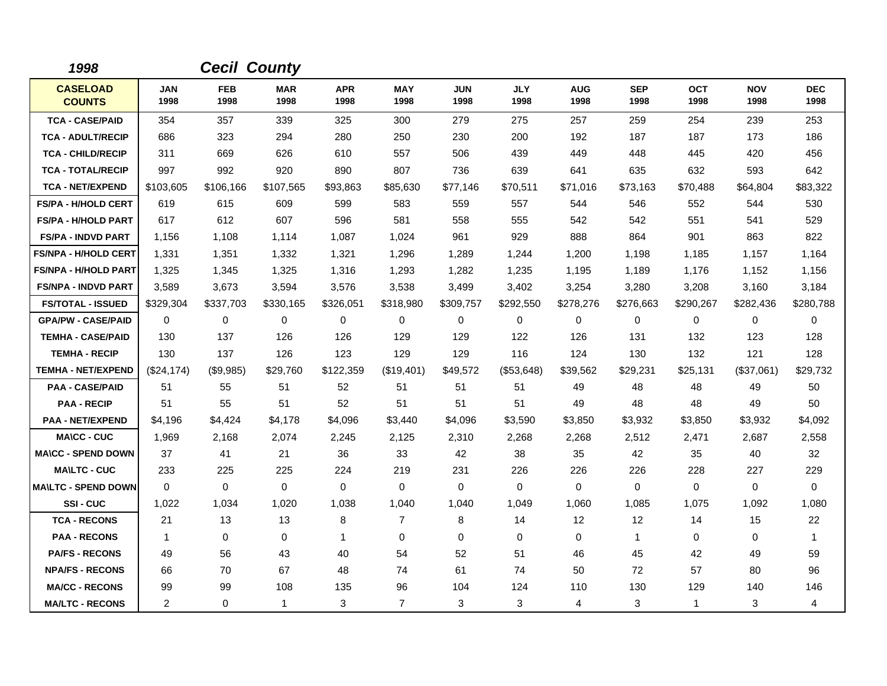| 1998                             |                    | <b>Cecil County</b> |                    |                    |                    |                    |                    |                    |                    |                    |                    |                    |
|----------------------------------|--------------------|---------------------|--------------------|--------------------|--------------------|--------------------|--------------------|--------------------|--------------------|--------------------|--------------------|--------------------|
| <b>CASELOAD</b><br><b>COUNTS</b> | <b>JAN</b><br>1998 | <b>FEB</b><br>1998  | <b>MAR</b><br>1998 | <b>APR</b><br>1998 | <b>MAY</b><br>1998 | <b>JUN</b><br>1998 | <b>JLY</b><br>1998 | <b>AUG</b><br>1998 | <b>SEP</b><br>1998 | <b>OCT</b><br>1998 | <b>NOV</b><br>1998 | <b>DEC</b><br>1998 |
| <b>TCA - CASE/PAID</b>           | 354                | 357                 | 339                | 325                | 300                | 279                | 275                | 257                | 259                | 254                | 239                | 253                |
| <b>TCA - ADULT/RECIP</b>         | 686                | 323                 | 294                | 280                | 250                | 230                | 200                | 192                | 187                | 187                | 173                | 186                |
| <b>TCA - CHILD/RECIP</b>         | 311                | 669                 | 626                | 610                | 557                | 506                | 439                | 449                | 448                | 445                | 420                | 456                |
| <b>TCA - TOTAL/RECIP</b>         | 997                | 992                 | 920                | 890                | 807                | 736                | 639                | 641                | 635                | 632                | 593                | 642                |
| <b>TCA - NET/EXPEND</b>          | \$103,605          | \$106.166           | \$107,565          | \$93,863           | \$85,630           | \$77.146           | \$70,511           | \$71,016           | \$73,163           | \$70,488           | \$64,804           | \$83,322           |
| <b>FS/PA - H/HOLD CERT</b>       | 619                | 615                 | 609                | 599                | 583                | 559                | 557                | 544                | 546                | 552                | 544                | 530                |
| <b>FS/PA - H/HOLD PART</b>       | 617                | 612                 | 607                | 596                | 581                | 558                | 555                | 542                | 542                | 551                | 541                | 529                |
| <b>FS/PA - INDVD PART</b>        | 1,156              | 1,108               | 1.114              | 1,087              | 1,024              | 961                | 929                | 888                | 864                | 901                | 863                | 822                |
| <b>FS/NPA - H/HOLD CERT</b>      | 1,331              | 1,351               | 1,332              | 1,321              | 1,296              | 1,289              | 1,244              | 1,200              | 1,198              | 1,185              | 1,157              | 1,164              |
| <b>FS/NPA - H/HOLD PART</b>      | 1,325              | 1,345               | 1,325              | 1,316              | 1,293              | 1,282              | 1,235              | 1,195              | 1,189              | 1,176              | 1,152              | 1,156              |
| <b>FS/NPA - INDVD PART</b>       | 3,589              | 3.673               | 3,594              | 3,576              | 3,538              | 3,499              | 3,402              | 3,254              | 3,280              | 3,208              | 3,160              | 3,184              |
| <b>FS/TOTAL - ISSUED</b>         | \$329,304          | \$337,703           | \$330,165          | \$326,051          | \$318,980          | \$309,757          | \$292,550          | \$278,276          | \$276,663          | \$290,267          | \$282,436          | \$280,788          |
| <b>GPA/PW - CASE/PAID</b>        | 0                  | 0                   | 0                  | 0                  | 0                  | $\Omega$           | $\mathbf 0$        | $\Omega$           | $\Omega$           | $\Omega$           | 0                  | $\Omega$           |
| <b>TEMHA - CASE/PAID</b>         | 130                | 137                 | 126                | 126                | 129                | 129                | 122                | 126                | 131                | 132                | 123                | 128                |
| <b>TEMHA - RECIP</b>             | 130                | 137                 | 126                | 123                | 129                | 129                | 116                | 124                | 130                | 132                | 121                | 128                |
| <b>TEMHA - NET/EXPEND</b>        | (\$24,174)         | (\$9,985)           | \$29,760           | \$122,359          | (\$19,401)         | \$49,572           | (\$53,648)         | \$39,562           | \$29,231           | \$25,131           | (\$37,061)         | \$29,732           |
| <b>PAA - CASE/PAID</b>           | 51                 | 55                  | 51                 | 52                 | 51                 | 51                 | 51                 | 49                 | 48                 | 48                 | 49                 | 50                 |
| <b>PAA - RECIP</b>               | 51                 | 55                  | 51                 | 52                 | 51                 | 51                 | 51                 | 49                 | 48                 | 48                 | 49                 | 50                 |
| <b>PAA - NET/EXPEND</b>          | \$4,196            | \$4,424             | \$4,178            | \$4,096            | \$3,440            | \$4,096            | \$3,590            | \$3,850            | \$3,932            | \$3,850            | \$3,932            | \$4,092            |
| <b>MA\CC - CUC</b>               | 1,969              | 2,168               | 2,074              | 2,245              | 2,125              | 2,310              | 2,268              | 2,268              | 2,512              | 2,471              | 2,687              | 2,558              |
| <b>MA\CC - SPEND DOWN</b>        | 37                 | 41                  | 21                 | 36                 | 33                 | 42                 | 38                 | 35                 | 42                 | 35                 | 40                 | 32                 |
| <b>MAILTC - CUC</b>              | 233                | 225                 | 225                | 224                | 219                | 231                | 226                | 226                | 226                | 228                | 227                | 229                |
| <b>MA\LTC - SPEND DOWN</b>       | $\mathbf 0$        | $\mathbf 0$         | $\mathbf 0$        | 0                  | $\mathbf 0$        | $\mathbf 0$        | $\Omega$           | $\mathbf 0$        | $\mathbf 0$        | 0                  | 0                  | 0                  |
| <b>SSI-CUC</b>                   | 1,022              | 1,034               | 1,020              | 1,038              | 1,040              | 1,040              | 1,049              | 1,060              | 1,085              | 1,075              | 1,092              | 1,080              |
| <b>TCA - RECONS</b>              | 21                 | 13                  | 13                 | 8                  | $\overline{7}$     | 8                  | 14                 | 12                 | 12                 | 14                 | 15                 | 22                 |
| <b>PAA - RECONS</b>              | $\mathbf 1$        | 0                   | $\mathbf 0$        | $\mathbf{1}$       | $\mathbf 0$        | 0                  | $\mathbf 0$        | 0                  | $\mathbf{1}$       | 0                  | 0                  | $\mathbf{1}$       |
| <b>PA/FS - RECONS</b>            | 49                 | 56                  | 43                 | 40                 | 54                 | 52                 | 51                 | 46                 | 45                 | 42                 | 49                 | 59                 |
| <b>NPA/FS - RECONS</b>           | 66                 | 70                  | 67                 | 48                 | 74                 | 61                 | 74                 | 50                 | 72                 | 57                 | 80                 | 96                 |
| <b>MA/CC - RECONS</b>            | 99                 | 99                  | 108                | 135                | 96                 | 104                | 124                | 110                | 130                | 129                | 140                | 146                |
| <b>MA/LTC - RECONS</b>           | 2                  | 0                   | $\mathbf{1}$       | 3                  | $\overline{7}$     | 3                  | 3                  | 4                  | 3                  | $\mathbf{1}$       | 3                  | 4                  |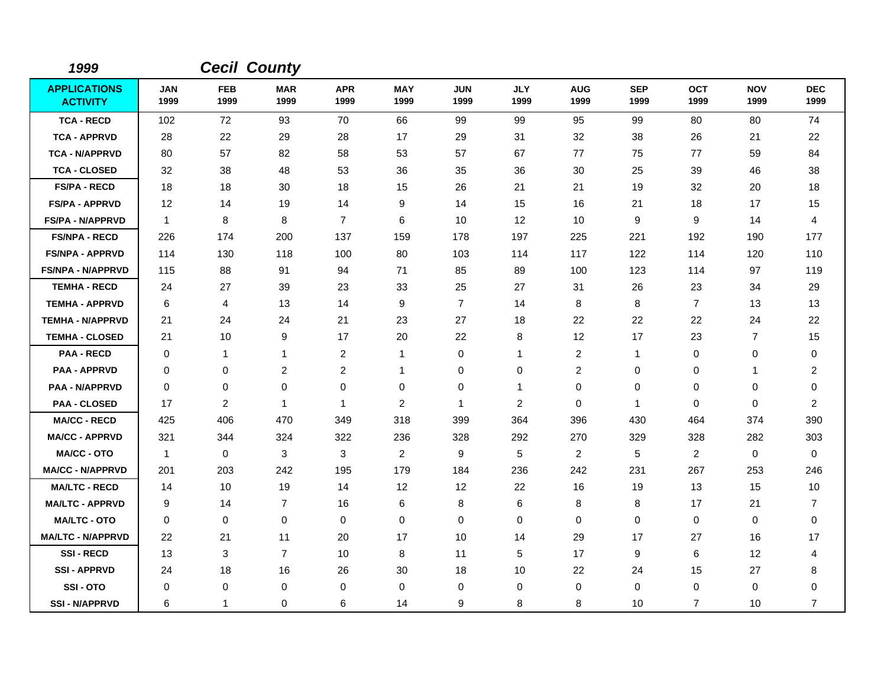| 1999                                   |                    |                    | <b>Cecil County</b> |                    |                    |                    |                    |                         |                    |                    |                    |                    |
|----------------------------------------|--------------------|--------------------|---------------------|--------------------|--------------------|--------------------|--------------------|-------------------------|--------------------|--------------------|--------------------|--------------------|
| <b>APPLICATIONS</b><br><b>ACTIVITY</b> | <b>JAN</b><br>1999 | <b>FEB</b><br>1999 | <b>MAR</b><br>1999  | <b>APR</b><br>1999 | <b>MAY</b><br>1999 | <b>JUN</b><br>1999 | <b>JLY</b><br>1999 | <b>AUG</b><br>1999      | <b>SEP</b><br>1999 | <b>OCT</b><br>1999 | <b>NOV</b><br>1999 | <b>DEC</b><br>1999 |
| <b>TCA - RECD</b>                      | 102                | 72                 | 93                  | 70                 | 66                 | 99                 | 99                 | 95                      | 99                 | 80                 | 80                 | 74                 |
| <b>TCA - APPRVD</b>                    | 28                 | 22                 | 29                  | 28                 | 17                 | 29                 | 31                 | 32                      | 38                 | 26                 | 21                 | 22                 |
| <b>TCA - N/APPRVD</b>                  | 80                 | 57                 | 82                  | 58                 | 53                 | 57                 | 67                 | 77                      | 75                 | 77                 | 59                 | 84                 |
| <b>TCA - CLOSED</b>                    | 32                 | 38                 | 48                  | 53                 | 36                 | 35                 | 36                 | 30                      | 25                 | 39                 | 46                 | 38                 |
| <b>FS/PA - RECD</b>                    | 18                 | 18                 | 30                  | 18                 | 15                 | 26                 | 21                 | 21                      | 19                 | 32                 | 20                 | 18                 |
| <b>FS/PA - APPRVD</b>                  | 12                 | 14                 | 19                  | 14                 | 9                  | 14                 | 15                 | 16                      | 21                 | 18                 | 17                 | 15                 |
| <b>FS/PA - N/APPRVD</b>                | $\mathbf{1}$       | 8                  | 8                   | $\overline{7}$     | 6                  | 10                 | $12 \,$            | 10                      | 9                  | 9                  | 14                 | 4                  |
| <b>FS/NPA - RECD</b>                   | 226                | 174                | 200                 | 137                | 159                | 178                | 197                | 225                     | 221                | 192                | 190                | 177                |
| <b>FS/NPA - APPRVD</b>                 | 114                | 130                | 118                 | 100                | 80                 | 103                | 114                | 117                     | 122                | 114                | 120                | 110                |
| <b>FS/NPA - N/APPRVD</b>               | 115                | 88                 | 91                  | 94                 | 71                 | 85                 | 89                 | 100                     | 123                | 114                | 97                 | 119                |
| <b>TEMHA - RECD</b>                    | 24                 | 27                 | 39                  | 23                 | 33                 | 25                 | 27                 | 31                      | 26                 | 23                 | 34                 | 29                 |
| <b>TEMHA - APPRVD</b>                  | 6                  | 4                  | 13                  | 14                 | 9                  | $\overline{7}$     | 14                 | 8                       | 8                  | $\overline{7}$     | 13                 | 13                 |
| <b>TEMHA - N/APPRVD</b>                | 21                 | 24                 | 24                  | 21                 | 23                 | 27                 | 18                 | 22                      | 22                 | 22                 | 24                 | 22                 |
| <b>TEMHA - CLOSED</b>                  | 21                 | 10                 | 9                   | 17                 | 20                 | 22                 | 8                  | 12                      | 17                 | 23                 | 7                  | 15                 |
| <b>PAA - RECD</b>                      | 0                  | $\mathbf{1}$       | $\mathbf{1}$        | 2                  | $\mathbf{1}$       | 0                  | $\mathbf 1$        | $\overline{2}$          | $\mathbf 1$        | 0                  | 0                  | 0                  |
| <b>PAA - APPRVD</b>                    | 0                  | 0                  | $\overline{c}$      | $\overline{c}$     | $\mathbf{1}$       | 0                  | 0                  | $\overline{\mathbf{c}}$ | $\mathbf 0$        | 0                  | 1                  | $\overline{2}$     |
| <b>PAA - N/APPRVD</b>                  | 0                  | 0                  | 0                   | 0                  | 0                  | 0                  | $\mathbf 1$        | 0                       | 0                  | 0                  | 0                  | 0                  |
| <b>PAA - CLOSED</b>                    | 17                 | $\overline{2}$     | $\mathbf{1}$        | 1                  | $\overline{2}$     | 1                  | $\overline{c}$     | 0                       | $\mathbf{1}$       | $\mathbf 0$        | $\mathbf 0$        | $\overline{2}$     |
| <b>MA/CC - RECD</b>                    | 425                | 406                | 470                 | 349                | 318                | 399                | 364                | 396                     | 430                | 464                | 374                | 390                |
| <b>MA/CC - APPRVD</b>                  | 321                | 344                | 324                 | 322                | 236                | 328                | 292                | 270                     | 329                | 328                | 282                | 303                |
| <b>MA/CC - OTO</b>                     | $\mathbf{1}$       | 0                  | 3                   | 3                  | $\overline{2}$     | 9                  | 5                  | $\overline{2}$          | 5                  | $\overline{2}$     | 0                  | 0                  |
| <b>MA/CC - N/APPRVD</b>                | 201                | 203                | 242                 | 195                | 179                | 184                | 236                | 242                     | 231                | 267                | 253                | 246                |
| <b>MA/LTC - RECD</b>                   | 14                 | 10                 | 19                  | 14                 | 12                 | 12                 | 22                 | 16                      | 19                 | 13                 | 15                 | 10                 |
| <b>MA/LTC - APPRVD</b>                 | 9                  | 14                 | $\overline{7}$      | 16                 | $\,6$              | 8                  | 6                  | 8                       | 8                  | 17                 | 21                 | $\overline{7}$     |
| <b>MA/LTC - OTO</b>                    | 0                  | 0                  | $\mathbf 0$         | $\mathbf 0$        | $\mathbf 0$        | 0                  | $\mathbf 0$        | 0                       | $\mathbf 0$        | $\mathbf 0$        | 0                  | $\pmb{0}$          |
| <b>MA/LTC - N/APPRVD</b>               | 22                 | 21                 | 11                  | 20                 | 17                 | 10                 | 14                 | 29                      | 17                 | 27                 | 16                 | 17                 |
| <b>SSI-RECD</b>                        | 13                 | 3                  | $\overline{7}$      | 10                 | 8                  | 11                 | 5                  | 17                      | 9                  | 6                  | 12                 | 4                  |
| <b>SSI - APPRVD</b>                    | 24                 | 18                 | 16                  | 26                 | 30                 | 18                 | 10                 | 22                      | 24                 | 15                 | 27                 | 8                  |
| SSI-OTO                                | 0                  | 0                  | 0                   | 0                  | 0                  | 0                  | 0                  | 0                       | 0                  | 0                  | 0                  | 0                  |
| <b>SSI - N/APPRVD</b>                  | 6                  | 1                  | 0                   | 6                  | 14                 | 9                  | 8                  | 8                       | 10                 | $\overline{7}$     | 10                 | $\overline{7}$     |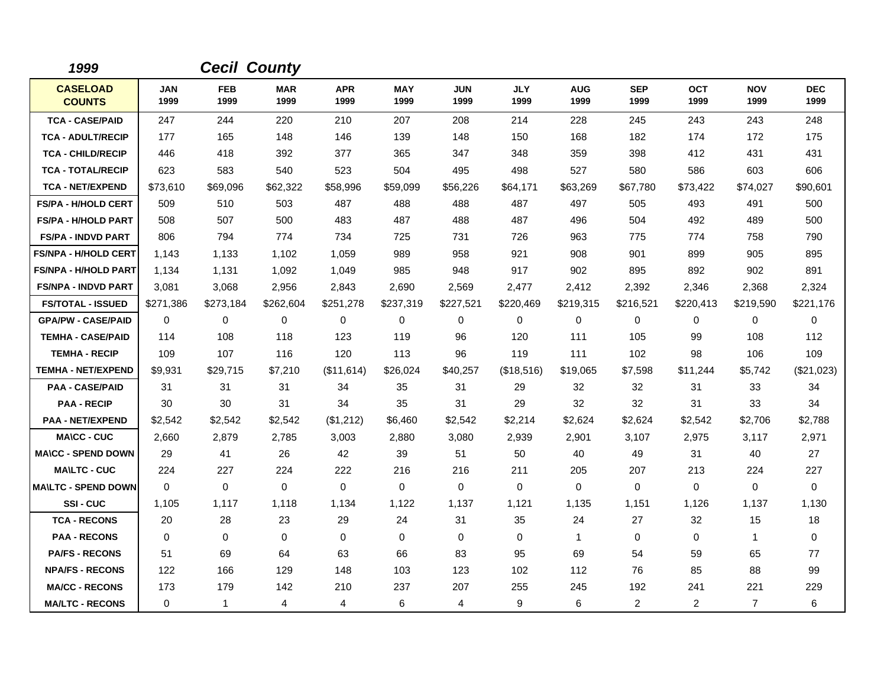| 1999                             |                    |                    | <b>Cecil County</b> |                    |                    |                    |                    |                    |                    |                    |                    |                    |
|----------------------------------|--------------------|--------------------|---------------------|--------------------|--------------------|--------------------|--------------------|--------------------|--------------------|--------------------|--------------------|--------------------|
| <b>CASELOAD</b><br><b>COUNTS</b> | <b>JAN</b><br>1999 | <b>FEB</b><br>1999 | <b>MAR</b><br>1999  | <b>APR</b><br>1999 | <b>MAY</b><br>1999 | <b>JUN</b><br>1999 | <b>JLY</b><br>1999 | <b>AUG</b><br>1999 | <b>SEP</b><br>1999 | <b>OCT</b><br>1999 | <b>NOV</b><br>1999 | <b>DEC</b><br>1999 |
| <b>TCA - CASE/PAID</b>           | 247                | 244                | 220                 | 210                | 207                | 208                | 214                | 228                | 245                | 243                | 243                | 248                |
| <b>TCA - ADULT/RECIP</b>         | 177                | 165                | 148                 | 146                | 139                | 148                | 150                | 168                | 182                | 174                | 172                | 175                |
| <b>TCA - CHILD/RECIP</b>         | 446                | 418                | 392                 | 377                | 365                | 347                | 348                | 359                | 398                | 412                | 431                | 431                |
| <b>TCA - TOTAL/RECIP</b>         | 623                | 583                | 540                 | 523                | 504                | 495                | 498                | 527                | 580                | 586                | 603                | 606                |
| <b>TCA - NET/EXPEND</b>          | \$73,610           | \$69,096           | \$62,322            | \$58,996           | \$59,099           | \$56,226           | \$64,171           | \$63,269           | \$67,780           | \$73,422           | \$74,027           | \$90,601           |
| <b>FS/PA - H/HOLD CERT</b>       | 509                | 510                | 503                 | 487                | 488                | 488                | 487                | 497                | 505                | 493                | 491                | 500                |
| <b>FS/PA - H/HOLD PART</b>       | 508                | 507                | 500                 | 483                | 487                | 488                | 487                | 496                | 504                | 492                | 489                | 500                |
| <b>FS/PA - INDVD PART</b>        | 806                | 794                | 774                 | 734                | 725                | 731                | 726                | 963                | 775                | 774                | 758                | 790                |
| <b>FS/NPA - H/HOLD CERT</b>      | 1,143              | 1,133              | 1,102               | 1,059              | 989                | 958                | 921                | 908                | 901                | 899                | 905                | 895                |
| <b>FS/NPA - H/HOLD PART</b>      | 1,134              | 1,131              | 1,092               | 1,049              | 985                | 948                | 917                | 902                | 895                | 892                | 902                | 891                |
| <b>FS/NPA - INDVD PART</b>       | 3,081              | 3,068              | 2,956               | 2,843              | 2,690              | 2,569              | 2,477              | 2,412              | 2,392              | 2,346              | 2,368              | 2,324              |
| <b>FS/TOTAL - ISSUED</b>         | \$271,386          | \$273,184          | \$262,604           | \$251,278          | \$237,319          | \$227,521          | \$220,469          | \$219,315          | \$216,521          | \$220,413          | \$219,590          | \$221,176          |
| <b>GPA/PW - CASE/PAID</b>        | $\mathbf 0$        | 0                  | 0                   | 0                  | 0                  | 0                  | 0                  | 0                  | 0                  | 0                  | $\mathbf 0$        | 0                  |
| <b>TEMHA - CASE/PAID</b>         | 114                | 108                | 118                 | 123                | 119                | 96                 | 120                | 111                | 105                | 99                 | 108                | 112                |
| <b>TEMHA - RECIP</b>             | 109                | 107                | 116                 | 120                | 113                | 96                 | 119                | 111                | 102                | 98                 | 106                | 109                |
| <b>TEMHA - NET/EXPEND</b>        | \$9,931            | \$29,715           | \$7,210             | (\$11,614)         | \$26,024           | \$40,257           | (\$18,516)         | \$19,065           | \$7,598            | \$11,244           | \$5,742            | (\$21,023)         |
| <b>PAA - CASE/PAID</b>           | 31                 | 31                 | 31                  | 34                 | 35                 | 31                 | 29                 | 32                 | 32                 | 31                 | 33                 | 34                 |
| <b>PAA - RECIP</b>               | 30                 | 30                 | 31                  | 34                 | 35                 | 31                 | 29                 | 32                 | 32                 | 31                 | 33                 | 34                 |
| <b>PAA - NET/EXPEND</b>          | \$2,542            | \$2,542            | \$2,542             | (\$1,212)          | \$6,460            | \$2,542            | \$2,214            | \$2,624            | \$2,624            | \$2,542            | \$2,706            | \$2,788            |
| <b>MA\CC - CUC</b>               | 2,660              | 2,879              | 2,785               | 3,003              | 2,880              | 3,080              | 2,939              | 2,901              | 3,107              | 2,975              | 3,117              | 2,971              |
| <b>MA\CC - SPEND DOWN</b>        | 29                 | 41                 | 26                  | 42                 | 39                 | 51                 | 50                 | 40                 | 49                 | 31                 | 40                 | 27                 |
| <b>MAILTC - CUC</b>              | 224                | 227                | 224                 | 222                | 216                | 216                | 211                | 205                | 207                | 213                | 224                | 227                |
| <b>MA\LTC - SPEND DOWN</b>       | $\mathbf 0$        | $\mathbf 0$        | $\mathbf 0$         | 0                  | 0                  | 0                  | 0                  | 0                  | 0                  | 0                  | $\mathbf 0$        | 0                  |
| <b>SSI-CUC</b>                   | 1,105              | 1,117              | 1,118               | 1,134              | 1,122              | 1,137              | 1,121              | 1,135              | 1,151              | 1,126              | 1,137              | 1,130              |
| <b>TCA - RECONS</b>              | 20                 | 28                 | 23                  | 29                 | 24                 | 31                 | 35                 | 24                 | 27                 | 32                 | 15                 | 18                 |
| <b>PAA - RECONS</b>              | $\mathbf 0$        | 0                  | $\mathbf 0$         | 0                  | 0                  | 0                  | 0                  | $\mathbf{1}$       | $\mathbf 0$        | 0                  | $\mathbf{1}$       | 0                  |
| <b>PA/FS - RECONS</b>            | 51                 | 69                 | 64                  | 63                 | 66                 | 83                 | 95                 | 69                 | 54                 | 59                 | 65                 | 77                 |
| <b>NPA/FS - RECONS</b>           | 122                | 166                | 129                 | 148                | 103                | 123                | 102                | 112                | 76                 | 85                 | 88                 | 99                 |
| <b>MA/CC - RECONS</b>            | 173                | 179                | 142                 | 210                | 237                | 207                | 255                | 245                | 192                | 241                | 221                | 229                |
| <b>MA/LTC - RECONS</b>           | 0                  | $\mathbf{1}$       | 4                   | 4                  | 6                  | $\overline{4}$     | 9                  | 6                  | $\overline{c}$     | $\overline{2}$     | $\overline{7}$     | 6                  |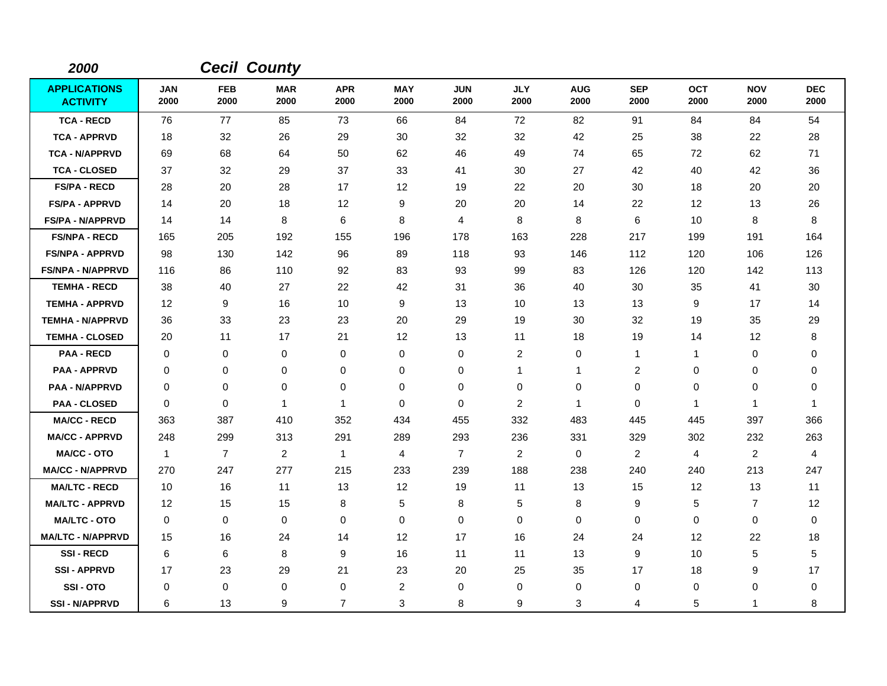| 2000                                   |                    |                    | <b>Cecil County</b> |                    |                    |                    |                         |                    |                    |                    |                    |                    |
|----------------------------------------|--------------------|--------------------|---------------------|--------------------|--------------------|--------------------|-------------------------|--------------------|--------------------|--------------------|--------------------|--------------------|
| <b>APPLICATIONS</b><br><b>ACTIVITY</b> | <b>JAN</b><br>2000 | <b>FEB</b><br>2000 | <b>MAR</b><br>2000  | <b>APR</b><br>2000 | <b>MAY</b><br>2000 | <b>JUN</b><br>2000 | <b>JLY</b><br>2000      | <b>AUG</b><br>2000 | <b>SEP</b><br>2000 | <b>OCT</b><br>2000 | <b>NOV</b><br>2000 | <b>DEC</b><br>2000 |
| <b>TCA - RECD</b>                      | 76                 | 77                 | 85                  | 73                 | 66                 | 84                 | 72                      | 82                 | 91                 | 84                 | 84                 | 54                 |
| <b>TCA - APPRVD</b>                    | 18                 | 32                 | 26                  | 29                 | 30                 | 32                 | 32                      | 42                 | 25                 | 38                 | 22                 | 28                 |
| <b>TCA - N/APPRVD</b>                  | 69                 | 68                 | 64                  | 50                 | 62                 | 46                 | 49                      | 74                 | 65                 | 72                 | 62                 | 71                 |
| <b>TCA - CLOSED</b>                    | 37                 | 32                 | 29                  | 37                 | 33                 | 41                 | 30                      | 27                 | 42                 | 40                 | 42                 | 36                 |
| <b>FS/PA - RECD</b>                    | 28                 | 20                 | 28                  | 17                 | 12                 | 19                 | 22                      | 20                 | 30                 | 18                 | 20                 | 20                 |
| <b>FS/PA - APPRVD</b>                  | 14                 | 20                 | 18                  | 12                 | 9                  | 20                 | 20                      | 14                 | 22                 | 12                 | 13                 | 26                 |
| <b>FS/PA - N/APPRVD</b>                | 14                 | 14                 | 8                   | 6                  | 8                  | 4                  | 8                       | 8                  | 6                  | 10                 | 8                  | 8                  |
| <b>FS/NPA - RECD</b>                   | 165                | 205                | 192                 | 155                | 196                | 178                | 163                     | 228                | 217                | 199                | 191                | 164                |
| <b>FS/NPA - APPRVD</b>                 | 98                 | 130                | 142                 | 96                 | 89                 | 118                | 93                      | 146                | 112                | 120                | 106                | 126                |
| <b>FS/NPA - N/APPRVD</b>               | 116                | 86                 | 110                 | 92                 | 83                 | 93                 | 99                      | 83                 | 126                | 120                | 142                | 113                |
| <b>TEMHA - RECD</b>                    | 38                 | 40                 | 27                  | 22                 | 42                 | 31                 | 36                      | 40                 | 30                 | 35                 | 41                 | 30                 |
| <b>TEMHA - APPRVD</b>                  | 12                 | 9                  | 16                  | 10                 | 9                  | 13                 | 10                      | 13                 | 13                 | 9                  | 17                 | 14                 |
| <b>TEMHA - N/APPRVD</b>                | 36                 | 33                 | 23                  | 23                 | 20                 | 29                 | 19                      | 30                 | 32                 | 19                 | 35                 | 29                 |
| <b>TEMHA - CLOSED</b>                  | 20                 | 11                 | 17                  | 21                 | 12                 | 13                 | 11                      | 18                 | 19                 | 14                 | 12                 | 8                  |
| <b>PAA - RECD</b>                      | $\Omega$           | 0                  | $\mathbf 0$         | $\mathbf 0$        | 0                  | 0                  | $\overline{\mathbf{c}}$ | 0                  | 1                  | 1                  | 0                  | 0                  |
| <b>PAA - APPRVD</b>                    | 0                  | 0                  | $\mathbf 0$         | 0                  | $\mathbf 0$        | 0                  | 1                       | 1                  | $\boldsymbol{2}$   | 0                  | 0                  | 0                  |
| <b>PAA - N/APPRVD</b>                  | 0                  | 0                  | $\mathbf 0$         | 0                  | 0                  | 0                  | 0                       | 0                  | $\pmb{0}$          | 0                  | 0                  | 0                  |
| <b>PAA - CLOSED</b>                    | $\Omega$           | $\mathbf 0$        | $\overline{1}$      | 1                  | $\mathbf 0$        | 0                  | $\overline{c}$          | $\mathbf{1}$       | $\mathbf 0$        | $\mathbf{1}$       | 1                  | -1                 |
| <b>MA/CC - RECD</b>                    | 363                | 387                | 410                 | 352                | 434                | 455                | 332                     | 483                | 445                | 445                | 397                | 366                |
| <b>MA/CC - APPRVD</b>                  | 248                | 299                | 313                 | 291                | 289                | 293                | 236                     | 331                | 329                | 302                | 232                | 263                |
| <b>MA/CC - OTO</b>                     | $\mathbf{1}$       | $\overline{7}$     | $\overline{2}$      | $\mathbf{1}$       | $\overline{4}$     | $\overline{7}$     | $\overline{2}$          | 0                  | $\overline{2}$     | 4                  | $\overline{2}$     | 4                  |
| <b>MA/CC - N/APPRVD</b>                | 270                | 247                | 277                 | 215                | 233                | 239                | 188                     | 238                | 240                | 240                | 213                | 247                |
| <b>MA/LTC - RECD</b>                   | 10                 | 16                 | 11                  | 13                 | 12                 | 19                 | 11                      | 13                 | 15                 | 12                 | 13                 | 11                 |
| <b>MA/LTC - APPRVD</b>                 | 12                 | 15                 | 15                  | 8                  | $\sqrt{5}$         | 8                  | 5                       | 8                  | 9                  | 5                  | $\overline{7}$     | 12                 |
| <b>MA/LTC - OTO</b>                    | 0                  | 0                  | $\mathbf 0$         | 0                  | $\mathbf 0$        | 0                  | $\mathbf 0$             | $\mathbf 0$        | $\mathbf 0$        | $\mathbf 0$        | 0                  | 0                  |
| <b>MA/LTC - N/APPRVD</b>               | 15                 | 16                 | 24                  | 14                 | 12                 | 17                 | 16                      | 24                 | 24                 | 12                 | 22                 | 18                 |
| <b>SSI-RECD</b>                        | 6                  | 6                  | 8                   | 9                  | 16                 | 11                 | 11                      | 13                 | 9                  | 10                 | 5                  | $\mathbf 5$        |
| <b>SSI-APPRVD</b>                      | 17                 | 23                 | 29                  | 21                 | 23                 | 20                 | 25                      | 35                 | 17                 | 18                 | 9                  | 17                 |
| SSI-OTO                                | $\Omega$           | 0                  | 0                   | 0                  | $\overline{c}$     | 0                  | 0                       | 0                  | 0                  | 0                  | 0                  | 0                  |
| <b>SSI-N/APPRVD</b>                    | 6                  | 13                 | 9                   | 7                  | 3                  | 8                  | 9                       | 3                  | 4                  | 5                  | 1                  | 8                  |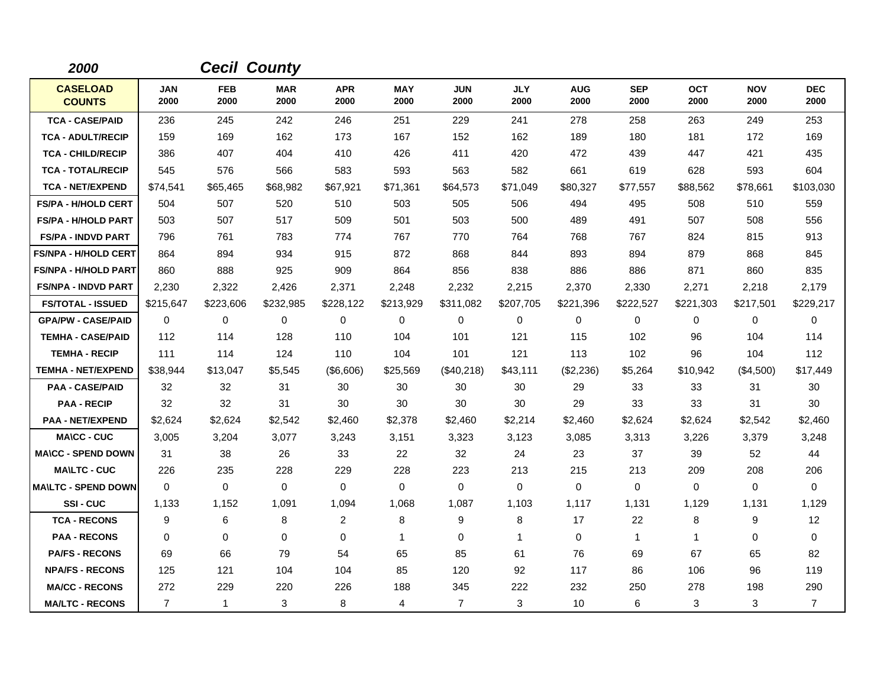| 2000                             |                    |                    | <b>Cecil County</b> |                    |                    |                    |                    |                    |                    |                    |                    |                    |
|----------------------------------|--------------------|--------------------|---------------------|--------------------|--------------------|--------------------|--------------------|--------------------|--------------------|--------------------|--------------------|--------------------|
| <b>CASELOAD</b><br><b>COUNTS</b> | <b>JAN</b><br>2000 | <b>FEB</b><br>2000 | <b>MAR</b><br>2000  | <b>APR</b><br>2000 | <b>MAY</b><br>2000 | <b>JUN</b><br>2000 | <b>JLY</b><br>2000 | <b>AUG</b><br>2000 | <b>SEP</b><br>2000 | <b>OCT</b><br>2000 | <b>NOV</b><br>2000 | <b>DEC</b><br>2000 |
| <b>TCA - CASE/PAID</b>           | 236                | 245                | 242                 | 246                | 251                | 229                | 241                | 278                | 258                | 263                | 249                | 253                |
| <b>TCA - ADULT/RECIP</b>         | 159                | 169                | 162                 | 173                | 167                | 152                | 162                | 189                | 180                | 181                | 172                | 169                |
| <b>TCA - CHILD/RECIP</b>         | 386                | 407                | 404                 | 410                | 426                | 411                | 420                | 472                | 439                | 447                | 421                | 435                |
| <b>TCA - TOTAL/RECIP</b>         | 545                | 576                | 566                 | 583                | 593                | 563                | 582                | 661                | 619                | 628                | 593                | 604                |
| <b>TCA - NET/EXPEND</b>          | \$74,541           | \$65,465           | \$68,982            | \$67,921           | \$71,361           | \$64,573           | \$71,049           | \$80,327           | \$77,557           | \$88,562           | \$78,661           | \$103,030          |
| <b>FS/PA - H/HOLD CERT</b>       | 504                | 507                | 520                 | 510                | 503                | 505                | 506                | 494                | 495                | 508                | 510                | 559                |
| <b>FS/PA - H/HOLD PART</b>       | 503                | 507                | 517                 | 509                | 501                | 503                | 500                | 489                | 491                | 507                | 508                | 556                |
| <b>FS/PA - INDVD PART</b>        | 796                | 761                | 783                 | 774                | 767                | 770                | 764                | 768                | 767                | 824                | 815                | 913                |
| <b>FS/NPA - H/HOLD CERT</b>      | 864                | 894                | 934                 | 915                | 872                | 868                | 844                | 893                | 894                | 879                | 868                | 845                |
| <b>FS/NPA - H/HOLD PART</b>      | 860                | 888                | 925                 | 909                | 864                | 856                | 838                | 886                | 886                | 871                | 860                | 835                |
| <b>FS/NPA - INDVD PART</b>       | 2,230              | 2,322              | 2,426               | 2,371              | 2,248              | 2,232              | 2,215              | 2,370              | 2,330              | 2,271              | 2,218              | 2,179              |
| <b>FS/TOTAL - ISSUED</b>         | \$215,647          | \$223,606          | \$232,985           | \$228,122          | \$213,929          | \$311,082          | \$207,705          | \$221,396          | \$222,527          | \$221,303          | \$217,501          | \$229,217          |
| <b>GPA/PW - CASE/PAID</b>        | $\Omega$           | $\Omega$           | 0                   | 0                  | 0                  | $\Omega$           | 0                  | 0                  | $\Omega$           | $\Omega$           | $\mathbf 0$        | 0                  |
| <b>TEMHA - CASE/PAID</b>         | 112                | 114                | 128                 | 110                | 104                | 101                | 121                | 115                | 102                | 96                 | 104                | 114                |
| <b>TEMHA - RECIP</b>             | 111                | 114                | 124                 | 110                | 104                | 101                | 121                | 113                | 102                | 96                 | 104                | 112                |
| <b>TEMHA - NET/EXPEND</b>        | \$38,944           | \$13,047           | \$5,545             | (\$6,606)          | \$25,569           | (\$40,218)         | \$43,111           | (\$2,236)          | \$5,264            | \$10,942           | (\$4,500)          | \$17,449           |
| <b>PAA - CASE/PAID</b>           | 32                 | 32                 | 31                  | 30                 | 30                 | 30                 | 30                 | 29                 | 33                 | 33                 | 31                 | 30                 |
| <b>PAA - RECIP</b>               | 32                 | 32                 | 31                  | 30                 | 30                 | 30                 | 30                 | 29                 | 33                 | 33                 | 31                 | 30                 |
| <b>PAA - NET/EXPEND</b>          | \$2,624            | \$2,624            | \$2,542             | \$2,460            | \$2,378            | \$2,460            | \$2,214            | \$2,460            | \$2,624            | \$2,624            | \$2,542            | \$2,460            |
| <b>MA\CC - CUC</b>               | 3,005              | 3,204              | 3,077               | 3,243              | 3,151              | 3,323              | 3,123              | 3,085              | 3,313              | 3,226              | 3,379              | 3,248              |
| <b>MA\CC - SPEND DOWN</b>        | 31                 | 38                 | 26                  | 33                 | 22                 | 32                 | 24                 | 23                 | 37                 | 39                 | 52                 | 44                 |
| <b>MAILTC - CUC</b>              | 226                | 235                | 228                 | 229                | 228                | 223                | 213                | 215                | 213                | 209                | 208                | 206                |
| <b>MAILTC - SPEND DOWN</b>       | $\mathbf 0$        | 0                  | $\mathbf 0$         | 0                  | $\mathbf 0$        | $\mathbf 0$        | 0                  | 0                  | $\mathbf 0$        | 0                  | $\mathbf 0$        | 0                  |
| <b>SSI-CUC</b>                   | 1,133              | 1,152              | 1,091               | 1,094              | 1,068              | 1,087              | 1,103              | 1,117              | 1,131              | 1,129              | 1,131              | 1,129              |
| <b>TCA - RECONS</b>              | 9                  | 6                  | 8                   | $\overline{2}$     | 8                  | 9                  | 8                  | 17                 | 22                 | 8                  | 9                  | 12                 |
| <b>PAA - RECONS</b>              | 0                  | 0                  | $\mathbf{0}$        | 0                  | $\mathbf 1$        | 0                  | $\mathbf{1}$       | 0                  | $\mathbf 1$        | $\mathbf{1}$       | $\mathbf 0$        | 0                  |
| <b>PA/FS - RECONS</b>            | 69                 | 66                 | 79                  | 54                 | 65                 | 85                 | 61                 | 76                 | 69                 | 67                 | 65                 | 82                 |
| <b>NPA/FS - RECONS</b>           | 125                | 121                | 104                 | 104                | 85                 | 120                | 92                 | 117                | 86                 | 106                | 96                 | 119                |
| <b>MA/CC - RECONS</b>            | 272                | 229                | 220                 | 226                | 188                | 345                | 222                | 232                | 250                | 278                | 198                | 290                |
| <b>MA/LTC - RECONS</b>           | $\overline{7}$     | $\mathbf{1}$       | 3                   | 8                  | 4                  | $\overline{7}$     | 3                  | 10                 | 6                  | 3                  | 3                  | $\overline{7}$     |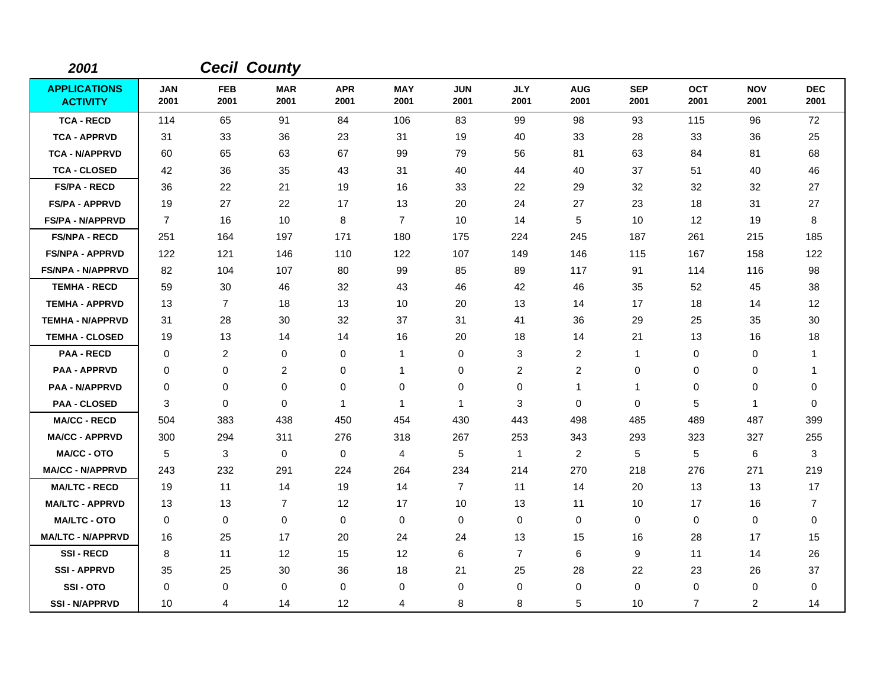| 2001                                   |                    |                    | <b>Cecil County</b> |                    |                    |                    |                    |                    |                    |                    |                    |                    |
|----------------------------------------|--------------------|--------------------|---------------------|--------------------|--------------------|--------------------|--------------------|--------------------|--------------------|--------------------|--------------------|--------------------|
| <b>APPLICATIONS</b><br><b>ACTIVITY</b> | <b>JAN</b><br>2001 | <b>FEB</b><br>2001 | <b>MAR</b><br>2001  | <b>APR</b><br>2001 | <b>MAY</b><br>2001 | <b>JUN</b><br>2001 | <b>JLY</b><br>2001 | <b>AUG</b><br>2001 | <b>SEP</b><br>2001 | <b>OCT</b><br>2001 | <b>NOV</b><br>2001 | <b>DEC</b><br>2001 |
| <b>TCA - RECD</b>                      | 114                | 65                 | 91                  | 84                 | 106                | 83                 | 99                 | 98                 | 93                 | 115                | 96                 | 72                 |
| <b>TCA - APPRVD</b>                    | 31                 | 33                 | 36                  | 23                 | 31                 | 19                 | 40                 | 33                 | 28                 | 33                 | 36                 | 25                 |
| <b>TCA - N/APPRVD</b>                  | 60                 | 65                 | 63                  | 67                 | 99                 | 79                 | 56                 | 81                 | 63                 | 84                 | 81                 | 68                 |
| <b>TCA - CLOSED</b>                    | 42                 | 36                 | 35                  | 43                 | 31                 | 40                 | 44                 | 40                 | 37                 | 51                 | 40                 | 46                 |
| <b>FS/PA - RECD</b>                    | 36                 | 22                 | 21                  | 19                 | 16                 | 33                 | 22                 | 29                 | 32                 | 32                 | 32                 | 27                 |
| <b>FS/PA - APPRVD</b>                  | 19                 | 27                 | 22                  | 17                 | 13                 | 20                 | 24                 | 27                 | 23                 | 18                 | 31                 | 27                 |
| <b>FS/PA - N/APPRVD</b>                | $\overline{7}$     | 16                 | 10                  | 8                  | $\overline{7}$     | 10                 | 14                 | 5                  | 10                 | 12                 | 19                 | 8                  |
| <b>FS/NPA - RECD</b>                   | 251                | 164                | 197                 | 171                | 180                | 175                | 224                | 245                | 187                | 261                | 215                | 185                |
| <b>FS/NPA - APPRVD</b>                 | 122                | 121                | 146                 | 110                | 122                | 107                | 149                | 146                | 115                | 167                | 158                | 122                |
| <b>FS/NPA - N/APPRVD</b>               | 82                 | 104                | 107                 | 80                 | 99                 | 85                 | 89                 | 117                | 91                 | 114                | 116                | 98                 |
| <b>TEMHA - RECD</b>                    | 59                 | 30                 | 46                  | 32                 | 43                 | 46                 | 42                 | 46                 | 35                 | 52                 | 45                 | 38                 |
| <b>TEMHA - APPRVD</b>                  | 13                 | $\overline{7}$     | 18                  | 13                 | 10                 | 20                 | 13                 | 14                 | 17                 | 18                 | 14                 | 12                 |
| <b>TEMHA - N/APPRVD</b>                | 31                 | 28                 | 30                  | 32                 | 37                 | 31                 | 41                 | 36                 | 29                 | 25                 | 35                 | 30                 |
| <b>TEMHA - CLOSED</b>                  | 19                 | 13                 | 14                  | 14                 | 16                 | 20                 | 18                 | 14                 | 21                 | 13                 | 16                 | 18                 |
| <b>PAA - RECD</b>                      | $\mathbf 0$        | $\overline{c}$     | $\mathbf 0$         | 0                  | $\mathbf{1}$       | 0                  | 3                  | $\overline{c}$     | 1                  | 0                  | 0                  | $\overline{1}$     |
| <b>PAA - APPRVD</b>                    | 0                  | 0                  | $\overline{c}$      | 0                  | $\mathbf 1$        | 0                  | 2                  | 2                  | $\mathbf 0$        | 0                  | 0                  | -1                 |
| <b>PAA - N/APPRVD</b>                  | 0                  | 0                  | $\mathbf 0$         | 0                  | 0                  | 0                  | 0                  | $\mathbf{1}$       | 1                  | 0                  | 0                  | 0                  |
| <b>PAA - CLOSED</b>                    | 3                  | $\mathbf 0$        | $\mathbf 0$         | 1                  | $\mathbf 1$        | 1                  | 3                  | $\mathbf 0$        | $\mathbf 0$        | 5                  | 1                  | $\mathbf 0$        |
| <b>MA/CC - RECD</b>                    | 504                | 383                | 438                 | 450                | 454                | 430                | 443                | 498                | 485                | 489                | 487                | 399                |
| <b>MA/CC - APPRVD</b>                  | 300                | 294                | 311                 | 276                | 318                | 267                | 253                | 343                | 293                | 323                | 327                | 255                |
| <b>MA/CC - OTO</b>                     | 5                  | 3                  | $\mathbf 0$         | 0                  | 4                  | 5                  | $\mathbf{1}$       | $\overline{2}$     | 5                  | 5                  | 6                  | 3                  |
| <b>MA/CC - N/APPRVD</b>                | 243                | 232                | 291                 | 224                | 264                | 234                | 214                | 270                | 218                | 276                | 271                | 219                |
| <b>MA/LTC - RECD</b>                   | 19                 | 11                 | 14                  | 19                 | 14                 | $\overline{7}$     | 11                 | 14                 | 20                 | 13                 | 13                 | 17                 |
| <b>MA/LTC - APPRVD</b>                 | 13                 | 13                 | $\overline{7}$      | 12                 | 17                 | 10                 | 13                 | 11                 | 10                 | 17                 | 16                 | $\overline{7}$     |
| <b>MA/LTC - OTO</b>                    | 0                  | 0                  | $\mathbf 0$         | 0                  | 0                  | 0                  | 0                  | 0                  | $\mathbf 0$        | 0                  | 0                  | 0                  |
| <b>MA/LTC - N/APPRVD</b>               | 16                 | 25                 | 17                  | 20                 | 24                 | 24                 | 13                 | 15                 | 16                 | 28                 | 17                 | 15                 |
| <b>SSI-RECD</b>                        | 8                  | 11                 | $12 \overline{ }$   | 15                 | 12                 | 6                  | $\overline{7}$     | 6                  | 9                  | 11                 | 14                 | 26                 |
| <b>SSI - APPRVD</b>                    | 35                 | 25                 | 30                  | 36                 | 18                 | 21                 | 25                 | 28                 | 22                 | 23                 | 26                 | 37                 |
| SSI-OTO                                | $\Omega$           | 0                  | 0                   | 0                  | 0                  | 0                  | 0                  | 0                  | $\Omega$           | 0                  | 0                  | 0                  |
| <b>SSI - N/APPRVD</b>                  | 10                 | 4                  | 14                  | 12                 | 4                  | 8                  | 8                  | 5                  | 10                 | $\overline{7}$     | 2                  | 14                 |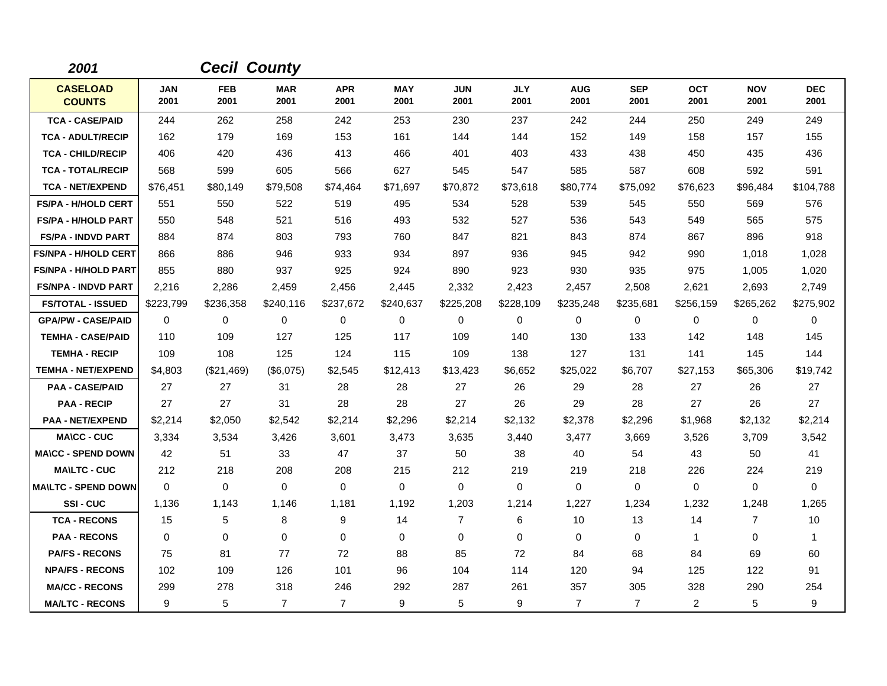| 2001                             |                    | <b>Cecil County</b> |                    |                    |                    |                    |                    |                    |                    |                    |                    |                    |
|----------------------------------|--------------------|---------------------|--------------------|--------------------|--------------------|--------------------|--------------------|--------------------|--------------------|--------------------|--------------------|--------------------|
| <b>CASELOAD</b><br><b>COUNTS</b> | <b>JAN</b><br>2001 | <b>FEB</b><br>2001  | <b>MAR</b><br>2001 | <b>APR</b><br>2001 | <b>MAY</b><br>2001 | <b>JUN</b><br>2001 | <b>JLY</b><br>2001 | <b>AUG</b><br>2001 | <b>SEP</b><br>2001 | <b>OCT</b><br>2001 | <b>NOV</b><br>2001 | <b>DEC</b><br>2001 |
| <b>TCA - CASE/PAID</b>           | 244                | 262                 | 258                | 242                | 253                | 230                | 237                | 242                | 244                | 250                | 249                | 249                |
| <b>TCA - ADULT/RECIP</b>         | 162                | 179                 | 169                | 153                | 161                | 144                | 144                | 152                | 149                | 158                | 157                | 155                |
| <b>TCA - CHILD/RECIP</b>         | 406                | 420                 | 436                | 413                | 466                | 401                | 403                | 433                | 438                | 450                | 435                | 436                |
| <b>TCA - TOTAL/RECIP</b>         | 568                | 599                 | 605                | 566                | 627                | 545                | 547                | 585                | 587                | 608                | 592                | 591                |
| <b>TCA - NET/EXPEND</b>          | \$76,451           | \$80,149            | \$79,508           | \$74,464           | \$71,697           | \$70,872           | \$73,618           | \$80,774           | \$75,092           | \$76,623           | \$96,484           | \$104,788          |
| <b>FS/PA - H/HOLD CERT</b>       | 551                | 550                 | 522                | 519                | 495                | 534                | 528                | 539                | 545                | 550                | 569                | 576                |
| <b>FS/PA - H/HOLD PART</b>       | 550                | 548                 | 521                | 516                | 493                | 532                | 527                | 536                | 543                | 549                | 565                | 575                |
| <b>FS/PA - INDVD PART</b>        | 884                | 874                 | 803                | 793                | 760                | 847                | 821                | 843                | 874                | 867                | 896                | 918                |
| <b>FS/NPA - H/HOLD CERT</b>      | 866                | 886                 | 946                | 933                | 934                | 897                | 936                | 945                | 942                | 990                | 1,018              | 1,028              |
| <b>FS/NPA - H/HOLD PART</b>      | 855                | 880                 | 937                | 925                | 924                | 890                | 923                | 930                | 935                | 975                | 1,005              | 1,020              |
| <b>FS/NPA - INDVD PART</b>       | 2,216              | 2,286               | 2,459              | 2,456              | 2,445              | 2,332              | 2,423              | 2,457              | 2,508              | 2,621              | 2,693              | 2,749              |
| <b>FS/TOTAL - ISSUED</b>         | \$223,799          | \$236,358           | \$240,116          | \$237,672          | \$240,637          | \$225,208          | \$228,109          | \$235,248          | \$235,681          | \$256,159          | \$265,262          | \$275,902          |
| <b>GPA/PW - CASE/PAID</b>        | $\mathbf 0$        | 0                   | 0                  | 0                  | 0                  | 0                  | 0                  | 0                  | 0                  | 0                  | 0                  | 0                  |
| <b>TEMHA - CASE/PAID</b>         | 110                | 109                 | 127                | 125                | 117                | 109                | 140                | 130                | 133                | 142                | 148                | 145                |
| <b>TEMHA - RECIP</b>             | 109                | 108                 | 125                | 124                | 115                | 109                | 138                | 127                | 131                | 141                | 145                | 144                |
| <b>TEMHA - NET/EXPEND</b>        | \$4,803            | (\$21,469)          | (\$6,075)          | \$2,545            | \$12,413           | \$13,423           | \$6,652            | \$25,022           | \$6,707            | \$27,153           | \$65,306           | \$19,742           |
| <b>PAA - CASE/PAID</b>           | 27                 | 27                  | 31                 | 28                 | 28                 | 27                 | 26                 | 29                 | 28                 | 27                 | 26                 | 27                 |
| <b>PAA - RECIP</b>               | 27                 | 27                  | 31                 | 28                 | 28                 | 27                 | 26                 | 29                 | 28                 | 27                 | 26                 | 27                 |
| <b>PAA - NET/EXPEND</b>          | \$2,214            | \$2,050             | \$2,542            | \$2,214            | \$2,296            | \$2,214            | \$2,132            | \$2,378            | \$2,296            | \$1,968            | \$2,132            | \$2,214            |
| <b>MA\CC - CUC</b>               | 3,334              | 3,534               | 3,426              | 3,601              | 3,473              | 3,635              | 3,440              | 3,477              | 3,669              | 3,526              | 3,709              | 3,542              |
| <b>MA\CC - SPEND DOWN</b>        | 42                 | 51                  | 33                 | 47                 | 37                 | 50                 | 38                 | 40                 | 54                 | 43                 | 50                 | 41                 |
| <b>MAILTC - CUC</b>              | 212                | 218                 | 208                | 208                | 215                | 212                | 219                | 219                | 218                | 226                | 224                | 219                |
| <b>MA\LTC - SPEND DOWN</b>       | 0                  | 0                   | $\mathbf 0$        | 0                  | $\mathbf 0$        | $\mathbf 0$        | 0                  | 0                  | 0                  | 0                  | 0                  | 0                  |
| <b>SSI-CUC</b>                   | 1,136              | 1,143               | 1,146              | 1,181              | 1,192              | 1,203              | 1,214              | 1,227              | 1,234              | 1,232              | 1,248              | 1,265              |
| <b>TCA - RECONS</b>              | 15                 | 5                   | 8                  | 9                  | 14                 | $\overline{7}$     | 6                  | 10                 | 13                 | 14                 | $\overline{7}$     | 10                 |
| <b>PAA - RECONS</b>              | 0                  | 0                   | $\mathbf 0$        | 0                  | 0                  | 0                  | 0                  | 0                  | $\mathbf 0$        | $\mathbf{1}$       | 0                  | $\mathbf{1}$       |
| <b>PA/FS - RECONS</b>            | 75                 | 81                  | 77                 | 72                 | 88                 | 85                 | 72                 | 84                 | 68                 | 84                 | 69                 | 60                 |
| <b>NPA/FS - RECONS</b>           | 102                | 109                 | 126                | 101                | 96                 | 104                | 114                | 120                | 94                 | 125                | 122                | 91                 |
| <b>MA/CC - RECONS</b>            | 299                | 278                 | 318                | 246                | 292                | 287                | 261                | 357                | 305                | 328                | 290                | 254                |
| <b>MA/LTC - RECONS</b>           | 9                  | 5                   | $\overline{7}$     | $\overline{7}$     | 9                  | 5                  | 9                  | $\overline{7}$     | $\overline{7}$     | $\overline{2}$     | 5                  | 9                  |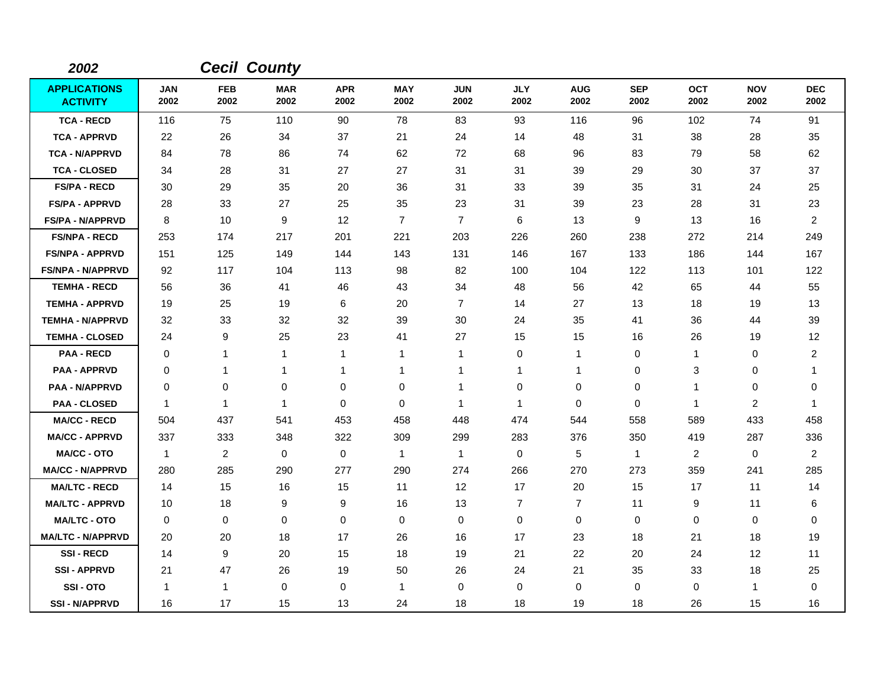| 2002                                   |                    |                    | <b>Cecil County</b> |                    |                    |                    |                    |                    |                    |                    |                    |                    |
|----------------------------------------|--------------------|--------------------|---------------------|--------------------|--------------------|--------------------|--------------------|--------------------|--------------------|--------------------|--------------------|--------------------|
| <b>APPLICATIONS</b><br><b>ACTIVITY</b> | <b>JAN</b><br>2002 | <b>FEB</b><br>2002 | <b>MAR</b><br>2002  | <b>APR</b><br>2002 | <b>MAY</b><br>2002 | <b>JUN</b><br>2002 | <b>JLY</b><br>2002 | <b>AUG</b><br>2002 | <b>SEP</b><br>2002 | <b>OCT</b><br>2002 | <b>NOV</b><br>2002 | <b>DEC</b><br>2002 |
| <b>TCA - RECD</b>                      | 116                | 75                 | 110                 | 90                 | 78                 | 83                 | 93                 | 116                | 96                 | 102                | 74                 | 91                 |
| <b>TCA - APPRVD</b>                    | 22                 | 26                 | 34                  | 37                 | 21                 | 24                 | 14                 | 48                 | 31                 | 38                 | 28                 | 35                 |
| <b>TCA - N/APPRVD</b>                  | 84                 | 78                 | 86                  | 74                 | 62                 | 72                 | 68                 | 96                 | 83                 | 79                 | 58                 | 62                 |
| <b>TCA - CLOSED</b>                    | 34                 | 28                 | 31                  | 27                 | 27                 | 31                 | 31                 | 39                 | 29                 | 30                 | 37                 | 37                 |
| <b>FS/PA - RECD</b>                    | 30                 | 29                 | 35                  | 20                 | 36                 | 31                 | 33                 | 39                 | 35                 | 31                 | 24                 | 25                 |
| <b>FS/PA - APPRVD</b>                  | 28                 | 33                 | 27                  | 25                 | 35                 | 23                 | 31                 | 39                 | 23                 | 28                 | 31                 | 23                 |
| <b>FS/PA - N/APPRVD</b>                | 8                  | 10                 | 9                   | 12                 | $\overline{7}$     | $\overline{7}$     | 6                  | 13                 | 9                  | 13                 | 16                 | $\overline{2}$     |
| <b>FS/NPA - RECD</b>                   | 253                | 174                | 217                 | 201                | 221                | 203                | 226                | 260                | 238                | 272                | 214                | 249                |
| <b>FS/NPA - APPRVD</b>                 | 151                | 125                | 149                 | 144                | 143                | 131                | 146                | 167                | 133                | 186                | 144                | 167                |
| <b>FS/NPA - N/APPRVD</b>               | 92                 | 117                | 104                 | 113                | 98                 | 82                 | 100                | 104                | 122                | 113                | 101                | 122                |
| <b>TEMHA - RECD</b>                    | 56                 | 36                 | 41                  | 46                 | 43                 | 34                 | 48                 | 56                 | 42                 | 65                 | 44                 | 55                 |
| <b>TEMHA - APPRVD</b>                  | 19                 | 25                 | 19                  | 6                  | 20                 | $\overline{7}$     | 14                 | 27                 | 13                 | 18                 | 19                 | 13                 |
| <b>TEMHA - N/APPRVD</b>                | 32                 | 33                 | 32                  | 32                 | 39                 | 30                 | 24                 | 35                 | 41                 | 36                 | 44                 | 39                 |
| <b>TEMHA - CLOSED</b>                  | 24                 | 9                  | 25                  | 23                 | 41                 | 27                 | 15                 | 15                 | 16                 | 26                 | 19                 | 12                 |
| <b>PAA - RECD</b>                      | $\mathbf 0$        | 1                  | $\mathbf{1}$        | $\mathbf{1}$       | $\mathbf{1}$       | $\mathbf{1}$       | $\mathbf 0$        | $\mathbf{1}$       | 0                  | 1                  | 0                  | $\overline{2}$     |
| <b>PAA - APPRVD</b>                    | 0                  | 1                  | 1                   | -1                 | $\mathbf 1$        | 1                  | 1                  | $\mathbf{1}$       | 0                  | 3                  | 0                  | -1                 |
| <b>PAA - N/APPRVD</b>                  | 0                  | $\mathbf 0$        | $\mathbf 0$         | $\mathbf 0$        | $\mathbf 0$        | 1                  | $\mathbf 0$        | 0                  | $\mathbf 0$        | 1                  | 0                  | 0                  |
| <b>PAA - CLOSED</b>                    | $\mathbf 1$        | 1                  | $\mathbf{1}$        | 0                  | $\pmb{0}$          | 1                  | $\mathbf{1}$       | 0                  | $\mathbf 0$        | $\mathbf{1}$       | $\overline{c}$     | $\mathbf 1$        |
| <b>MA/CC - RECD</b>                    | 504                | 437                | 541                 | 453                | 458                | 448                | 474                | 544                | 558                | 589                | 433                | 458                |
| <b>MA/CC - APPRVD</b>                  | 337                | 333                | 348                 | 322                | 309                | 299                | 283                | 376                | 350                | 419                | 287                | 336                |
| <b>MA/CC - OTO</b>                     | $\mathbf{1}$       | $\overline{c}$     | $\mathbf 0$         | 0                  | $\mathbf{1}$       | $\mathbf{1}$       | 0                  | 5                  | $\mathbf{1}$       | $\overline{c}$     | 0                  | $\overline{2}$     |
| <b>MA/CC - N/APPRVD</b>                | 280                | 285                | 290                 | 277                | 290                | 274                | 266                | 270                | 273                | 359                | 241                | 285                |
| <b>MA/LTC - RECD</b>                   | 14                 | 15                 | 16                  | 15                 | 11                 | 12                 | 17                 | 20                 | 15                 | 17                 | 11                 | 14                 |
| <b>MA/LTC - APPRVD</b>                 | 10                 | 18                 | 9                   | 9                  | 16                 | 13                 | $\overline{7}$     | $\overline{7}$     | 11                 | 9                  | 11                 | 6                  |
| <b>MA/LTC - OTO</b>                    | 0                  | 0                  | $\mathbf 0$         | 0                  | 0                  | 0                  | 0                  | 0                  | 0                  | 0                  | 0                  | 0                  |
| <b>MA/LTC - N/APPRVD</b>               | 20                 | 20                 | 18                  | 17                 | 26                 | 16                 | 17                 | 23                 | 18                 | 21                 | 18                 | 19                 |
| <b>SSI-RECD</b>                        | 14                 | 9                  | 20                  | 15                 | 18                 | 19                 | 21                 | 22                 | 20                 | 24                 | 12                 | 11                 |
| <b>SSI-APPRVD</b>                      | 21                 | 47                 | 26                  | 19                 | 50                 | 26                 | 24                 | 21                 | 35                 | 33                 | 18                 | 25                 |
| SSI-OTO                                | $\overline{1}$     | 1                  | $\mathbf 0$         | 0                  | $\mathbf{1}$       | 0                  | 0                  | 0                  | $\mathbf 0$        | 0                  | 1                  | 0                  |
| <b>SSI - N/APPRVD</b>                  | 16                 | 17                 | 15                  | 13                 | 24                 | 18                 | 18                 | 19                 | 18                 | 26                 | 15                 | 16                 |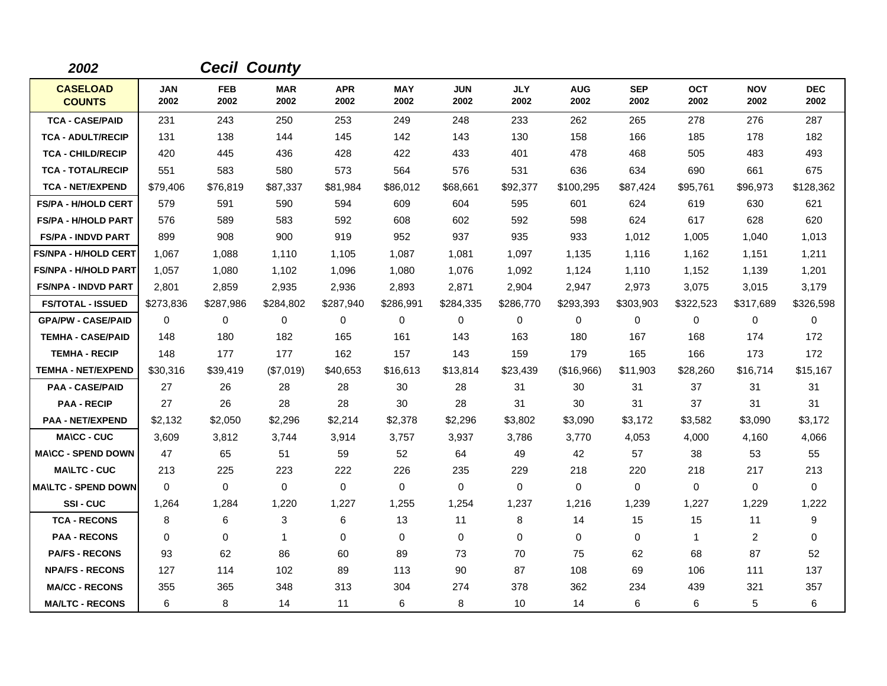| 2002                             |                    |                    | <b>Cecil County</b> |                    |                    |                    |                    |                    |                    |                    |                    |                    |
|----------------------------------|--------------------|--------------------|---------------------|--------------------|--------------------|--------------------|--------------------|--------------------|--------------------|--------------------|--------------------|--------------------|
| <b>CASELOAD</b><br><b>COUNTS</b> | <b>JAN</b><br>2002 | <b>FEB</b><br>2002 | <b>MAR</b><br>2002  | <b>APR</b><br>2002 | <b>MAY</b><br>2002 | <b>JUN</b><br>2002 | <b>JLY</b><br>2002 | <b>AUG</b><br>2002 | <b>SEP</b><br>2002 | <b>OCT</b><br>2002 | <b>NOV</b><br>2002 | <b>DEC</b><br>2002 |
| <b>TCA - CASE/PAID</b>           | 231                | 243                | 250                 | 253                | 249                | 248                | 233                | 262                | 265                | 278                | 276                | 287                |
| <b>TCA - ADULT/RECIP</b>         | 131                | 138                | 144                 | 145                | 142                | 143                | 130                | 158                | 166                | 185                | 178                | 182                |
| <b>TCA - CHILD/RECIP</b>         | 420                | 445                | 436                 | 428                | 422                | 433                | 401                | 478                | 468                | 505                | 483                | 493                |
| <b>TCA - TOTAL/RECIP</b>         | 551                | 583                | 580                 | 573                | 564                | 576                | 531                | 636                | 634                | 690                | 661                | 675                |
| <b>TCA - NET/EXPEND</b>          | \$79,406           | \$76,819           | \$87,337            | \$81,984           | \$86,012           | \$68,661           | \$92,377           | \$100,295          | \$87,424           | \$95,761           | \$96,973           | \$128,362          |
| <b>FS/PA - H/HOLD CERT</b>       | 579                | 591                | 590                 | 594                | 609                | 604                | 595                | 601                | 624                | 619                | 630                | 621                |
| <b>FS/PA - H/HOLD PART</b>       | 576                | 589                | 583                 | 592                | 608                | 602                | 592                | 598                | 624                | 617                | 628                | 620                |
| <b>FS/PA - INDVD PART</b>        | 899                | 908                | 900                 | 919                | 952                | 937                | 935                | 933                | 1,012              | 1,005              | 1,040              | 1,013              |
| <b>FS/NPA - H/HOLD CERT</b>      | 1,067              | 1,088              | 1,110               | 1,105              | 1,087              | 1,081              | 1,097              | 1,135              | 1,116              | 1,162              | 1,151              | 1,211              |
| <b>FS/NPA - H/HOLD PART</b>      | 1,057              | 1,080              | 1,102               | 1,096              | 1,080              | 1,076              | 1,092              | 1,124              | 1,110              | 1,152              | 1,139              | 1,201              |
| <b>FS/NPA - INDVD PART</b>       | 2,801              | 2.859              | 2,935               | 2,936              | 2,893              | 2,871              | 2,904              | 2,947              | 2,973              | 3,075              | 3.015              | 3,179              |
| <b>FS/TOTAL - ISSUED</b>         | \$273,836          | \$287,986          | \$284,802           | \$287,940          | \$286,991          | \$284,335          | \$286,770          | \$293,393          | \$303,903          | \$322,523          | \$317,689          | \$326,598          |
| <b>GPA/PW - CASE/PAID</b>        | $\Omega$           | $\Omega$           | 0                   | 0                  | $\mathbf 0$        | $\Omega$           | $\mathbf 0$        | 0                  | $\Omega$           | $\Omega$           | 0                  | $\Omega$           |
| <b>TEMHA - CASE/PAID</b>         | 148                | 180                | 182                 | 165                | 161                | 143                | 163                | 180                | 167                | 168                | 174                | 172                |
| <b>TEMHA - RECIP</b>             | 148                | 177                | 177                 | 162                | 157                | 143                | 159                | 179                | 165                | 166                | 173                | 172                |
| <b>TEMHA - NET/EXPEND</b>        | \$30,316           | \$39,419           | (\$7,019)           | \$40,653           | \$16,613           | \$13,814           | \$23,439           | (\$16,966)         | \$11,903           | \$28,260           | \$16,714           | \$15,167           |
| <b>PAA - CASE/PAID</b>           | 27                 | 26                 | 28                  | 28                 | 30                 | 28                 | 31                 | 30                 | 31                 | 37                 | 31                 | 31                 |
| <b>PAA - RECIP</b>               | 27                 | 26                 | 28                  | 28                 | 30                 | 28                 | 31                 | 30                 | 31                 | 37                 | 31                 | 31                 |
| <b>PAA - NET/EXPEND</b>          | \$2,132            | \$2,050            | \$2,296             | \$2,214            | \$2,378            | \$2,296            | \$3,802            | \$3,090            | \$3,172            | \$3,582            | \$3,090            | \$3,172            |
| <b>MA\CC - CUC</b>               | 3,609              | 3,812              | 3,744               | 3,914              | 3,757              | 3,937              | 3,786              | 3,770              | 4,053              | 4,000              | 4,160              | 4,066              |
| <b>MA\CC - SPEND DOWN</b>        | 47                 | 65                 | 51                  | 59                 | 52                 | 64                 | 49                 | 42                 | 57                 | 38                 | 53                 | 55                 |
| <b>MAILTC - CUC</b>              | 213                | 225                | 223                 | 222                | 226                | 235                | 229                | 218                | 220                | 218                | 217                | 213                |
| <b>MA\LTC - SPEND DOWN</b>       | $\mathbf 0$        | $\mathbf 0$        | $\mathbf 0$         | 0                  | $\mathbf 0$        | $\mathbf 0$        | $\mathbf 0$        | 0                  | $\mathbf 0$        | 0                  | 0                  | 0                  |
| <b>SSI-CUC</b>                   | 1,264              | 1,284              | 1,220               | 1,227              | 1,255              | 1,254              | 1,237              | 1,216              | 1,239              | 1,227              | 1,229              | 1,222              |
| <b>TCA - RECONS</b>              | 8                  | 6                  | 3                   | 6                  | 13                 | 11                 | 8                  | 14                 | 15                 | 15                 | 11                 | 9                  |
| <b>PAA - RECONS</b>              | 0                  | 0                  | $\mathbf{1}$        | 0                  | $\mathbf 0$        | $\mathbf 0$        | 0                  | 0                  | $\mathbf 0$        | $\mathbf 1$        | 2                  | 0                  |
| <b>PA/FS - RECONS</b>            | 93                 | 62                 | 86                  | 60                 | 89                 | 73                 | 70                 | 75                 | 62                 | 68                 | 87                 | 52                 |
| <b>NPA/FS - RECONS</b>           | 127                | 114                | 102                 | 89                 | 113                | 90                 | 87                 | 108                | 69                 | 106                | 111                | 137                |
| <b>MA/CC - RECONS</b>            | 355                | 365                | 348                 | 313                | 304                | 274                | 378                | 362                | 234                | 439                | 321                | 357                |
| <b>MA/LTC - RECONS</b>           | 6                  | 8                  | 14                  | 11                 | 6                  | 8                  | 10                 | 14                 | 6                  | 6                  | 5                  | 6                  |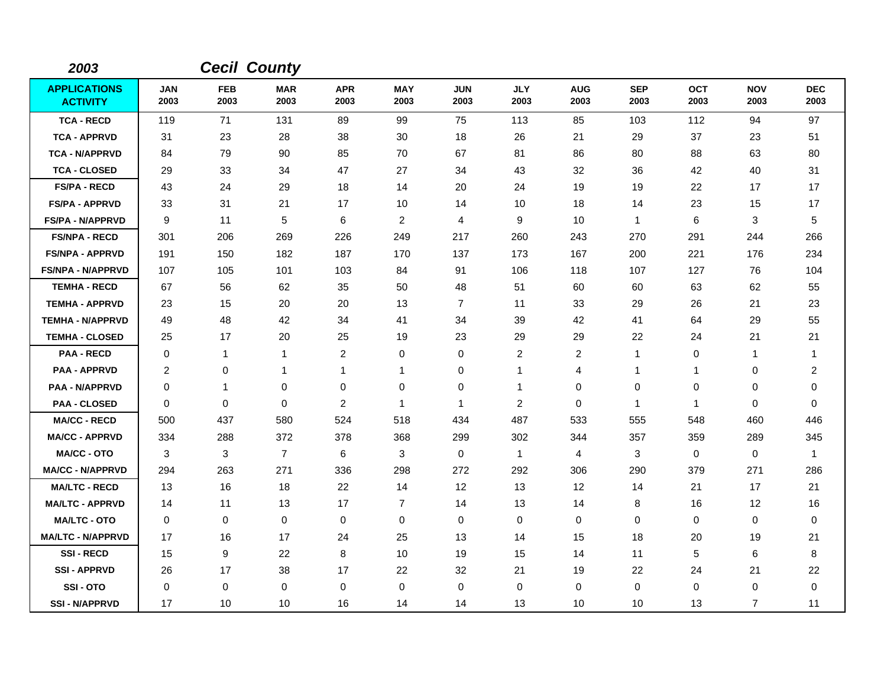| 2003                                   |                    |                    | <b>Cecil County</b> |                    |                    |                    |                    |                    |                    |                    |                    |                    |
|----------------------------------------|--------------------|--------------------|---------------------|--------------------|--------------------|--------------------|--------------------|--------------------|--------------------|--------------------|--------------------|--------------------|
| <b>APPLICATIONS</b><br><b>ACTIVITY</b> | <b>JAN</b><br>2003 | <b>FEB</b><br>2003 | <b>MAR</b><br>2003  | <b>APR</b><br>2003 | <b>MAY</b><br>2003 | <b>JUN</b><br>2003 | <b>JLY</b><br>2003 | <b>AUG</b><br>2003 | <b>SEP</b><br>2003 | <b>OCT</b><br>2003 | <b>NOV</b><br>2003 | <b>DEC</b><br>2003 |
| <b>TCA - RECD</b>                      | 119                | 71                 | 131                 | 89                 | 99                 | 75                 | 113                | 85                 | 103                | 112                | 94                 | 97                 |
| <b>TCA - APPRVD</b>                    | 31                 | 23                 | 28                  | 38                 | 30                 | 18                 | 26                 | 21                 | 29                 | 37                 | 23                 | 51                 |
| <b>TCA - N/APPRVD</b>                  | 84                 | 79                 | 90                  | 85                 | 70                 | 67                 | 81                 | 86                 | 80                 | 88                 | 63                 | 80                 |
| <b>TCA - CLOSED</b>                    | 29                 | 33                 | 34                  | 47                 | 27                 | 34                 | 43                 | 32                 | 36                 | 42                 | 40                 | 31                 |
| <b>FS/PA - RECD</b>                    | 43                 | 24                 | 29                  | 18                 | 14                 | 20                 | 24                 | 19                 | 19                 | 22                 | 17                 | 17                 |
| <b>FS/PA - APPRVD</b>                  | 33                 | 31                 | 21                  | 17                 | 10                 | 14                 | 10                 | 18                 | 14                 | 23                 | 15                 | 17                 |
| <b>FS/PA - N/APPRVD</b>                | 9                  | 11                 | 5                   | 6                  | $\overline{2}$     | 4                  | 9                  | 10                 | $\mathbf{1}$       | 6                  | 3                  | $\,$ 5 $\,$        |
| <b>FS/NPA - RECD</b>                   | 301                | 206                | 269                 | 226                | 249                | 217                | 260                | 243                | 270                | 291                | 244                | 266                |
| <b>FS/NPA - APPRVD</b>                 | 191                | 150                | 182                 | 187                | 170                | 137                | 173                | 167                | 200                | 221                | 176                | 234                |
| <b>FS/NPA - N/APPRVD</b>               | 107                | 105                | 101                 | 103                | 84                 | 91                 | 106                | 118                | 107                | 127                | 76                 | 104                |
| <b>TEMHA - RECD</b>                    | 67                 | 56                 | 62                  | 35                 | 50                 | 48                 | 51                 | 60                 | 60                 | 63                 | 62                 | 55                 |
| <b>TEMHA - APPRVD</b>                  | 23                 | 15                 | 20                  | 20                 | 13                 | $\overline{7}$     | 11                 | 33                 | 29                 | 26                 | 21                 | 23                 |
| <b>TEMHA - N/APPRVD</b>                | 49                 | 48                 | 42                  | 34                 | 41                 | 34                 | 39                 | 42                 | 41                 | 64                 | 29                 | 55                 |
| <b>TEMHA - CLOSED</b>                  | 25                 | 17                 | 20                  | 25                 | 19                 | 23                 | 29                 | 29                 | 22                 | 24                 | 21                 | 21                 |
| <b>PAA - RECD</b>                      | $\mathbf 0$        | 1                  | $\mathbf{1}$        | $\overline{c}$     | 0                  | 0                  | $\overline{c}$     | $\overline{c}$     | 1                  | 0                  | 1                  | $\mathbf 1$        |
| <b>PAA - APPRVD</b>                    | $\overline{c}$     | 0                  | 1                   | 1                  | $\mathbf 1$        | 0                  | 1                  | 4                  | $\mathbf 1$        | 1                  | 0                  | $\overline{c}$     |
| <b>PAA - N/APPRVD</b>                  | 0                  | 1                  | 0                   | 0                  | 0                  | 0                  | $\mathbf{1}$       | 0                  | 0                  | 0                  | 0                  | 0                  |
| <b>PAA - CLOSED</b>                    | $\mathbf 0$        | $\mathbf 0$        | $\mathbf 0$         | $\overline{c}$     | $\mathbf 1$        | $\mathbf{1}$       | $\overline{2}$     | $\mathbf 0$        | 1                  | -1                 | $\mathbf 0$        | $\mathbf 0$        |
| <b>MA/CC - RECD</b>                    | 500                | 437                | 580                 | 524                | 518                | 434                | 487                | 533                | 555                | 548                | 460                | 446                |
| <b>MA/CC - APPRVD</b>                  | 334                | 288                | 372                 | 378                | 368                | 299                | 302                | 344                | 357                | 359                | 289                | 345                |
| <b>MA/CC - OTO</b>                     | 3                  | 3                  | $\overline{7}$      | 6                  | 3                  | $\mathbf 0$        | $\mathbf{1}$       | 4                  | 3                  | $\mathbf 0$        | 0                  | $\overline{1}$     |
| <b>MA/CC - N/APPRVD</b>                | 294                | 263                | 271                 | 336                | 298                | 272                | 292                | 306                | 290                | 379                | 271                | 286                |
| <b>MA/LTC - RECD</b>                   | 13                 | 16                 | 18                  | 22                 | 14                 | 12                 | 13                 | 12                 | 14                 | 21                 | 17                 | 21                 |
| <b>MA/LTC - APPRVD</b>                 | 14                 | 11                 | 13                  | 17                 | $\overline{7}$     | 14                 | 13                 | 14                 | 8                  | 16                 | 12                 | 16                 |
| <b>MA/LTC - OTO</b>                    | 0                  | 0                  | $\mathbf 0$         | $\mathbf 0$        | 0                  | $\mathbf 0$        | 0                  | 0                  | $\mathbf 0$        | 0                  | 0                  | 0                  |
| <b>MA/LTC - N/APPRVD</b>               | 17                 | 16                 | 17                  | 24                 | 25                 | 13                 | 14                 | 15                 | 18                 | 20                 | 19                 | 21                 |
| <b>SSI-RECD</b>                        | 15                 | 9                  | 22                  | 8                  | 10                 | 19                 | 15                 | 14                 | 11                 | 5                  | 6                  | 8                  |
| <b>SSI - APPRVD</b>                    | 26                 | 17                 | 38                  | 17                 | 22                 | 32                 | 21                 | 19                 | 22                 | 24                 | 21                 | 22                 |
| SSI-OTO                                | 0                  | 0                  | 0                   | 0                  | 0                  | 0                  | 0                  | 0                  | $\pmb{0}$          | $\Omega$           | 0                  | 0                  |
| <b>SSI - N/APPRVD</b>                  | 17                 | 10                 | 10                  | 16                 | 14                 | 14                 | 13                 | 10                 | 10                 | 13                 | $\overline{7}$     | 11                 |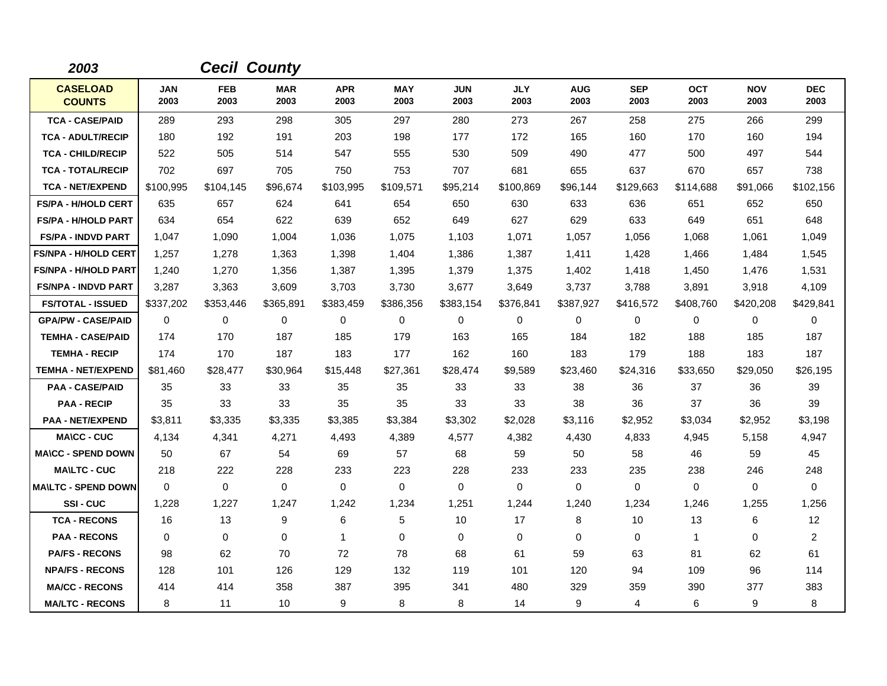| 2003                             |                    | <b>Cecil County</b> |                    |                    |                    |                    |                    |                    |                    |                    |                    |                    |
|----------------------------------|--------------------|---------------------|--------------------|--------------------|--------------------|--------------------|--------------------|--------------------|--------------------|--------------------|--------------------|--------------------|
| <b>CASELOAD</b><br><b>COUNTS</b> | <b>JAN</b><br>2003 | <b>FEB</b><br>2003  | <b>MAR</b><br>2003 | <b>APR</b><br>2003 | <b>MAY</b><br>2003 | <b>JUN</b><br>2003 | <b>JLY</b><br>2003 | <b>AUG</b><br>2003 | <b>SEP</b><br>2003 | <b>OCT</b><br>2003 | <b>NOV</b><br>2003 | <b>DEC</b><br>2003 |
| <b>TCA - CASE/PAID</b>           | 289                | 293                 | 298                | 305                | 297                | 280                | 273                | 267                | 258                | 275                | 266                | 299                |
| <b>TCA - ADULT/RECIP</b>         | 180                | 192                 | 191                | 203                | 198                | 177                | 172                | 165                | 160                | 170                | 160                | 194                |
| <b>TCA - CHILD/RECIP</b>         | 522                | 505                 | 514                | 547                | 555                | 530                | 509                | 490                | 477                | 500                | 497                | 544                |
| <b>TCA - TOTAL/RECIP</b>         | 702                | 697                 | 705                | 750                | 753                | 707                | 681                | 655                | 637                | 670                | 657                | 738                |
| <b>TCA - NET/EXPEND</b>          | \$100,995          | \$104,145           | \$96,674           | \$103,995          | \$109,571          | \$95,214           | \$100,869          | \$96,144           | \$129,663          | \$114,688          | \$91,066           | \$102,156          |
| <b>FS/PA - H/HOLD CERT</b>       | 635                | 657                 | 624                | 641                | 654                | 650                | 630                | 633                | 636                | 651                | 652                | 650                |
| <b>FS/PA - H/HOLD PART</b>       | 634                | 654                 | 622                | 639                | 652                | 649                | 627                | 629                | 633                | 649                | 651                | 648                |
| <b>FS/PA - INDVD PART</b>        | 1,047              | 1,090               | 1,004              | 1,036              | 1,075              | 1,103              | 1,071              | 1,057              | 1,056              | 1,068              | 1,061              | 1,049              |
| <b>FS/NPA - H/HOLD CERT</b>      | 1,257              | 1.278               | 1,363              | 1,398              | 1,404              | 1.386              | 1,387              | 1,411              | 1,428              | 1,466              | 1,484              | 1,545              |
| <b>FS/NPA - H/HOLD PART</b>      | 1,240              | 1,270               | 1,356              | 1,387              | 1,395              | 1,379              | 1,375              | 1,402              | 1,418              | 1,450              | 1,476              | 1,531              |
| <b>FS/NPA - INDVD PART</b>       | 3,287              | 3,363               | 3,609              | 3,703              | 3,730              | 3,677              | 3,649              | 3,737              | 3,788              | 3,891              | 3,918              | 4,109              |
| <b>FS/TOTAL - ISSUED</b>         | \$337,202          | \$353,446           | \$365,891          | \$383,459          | \$386,356          | \$383,154          | \$376,841          | \$387,927          | \$416,572          | \$408,760          | \$420,208          | \$429,841          |
| <b>GPA/PW - CASE/PAID</b>        | $\mathbf 0$        | 0                   | 0                  | 0                  | $\mathbf 0$        | 0                  | $\mathbf 0$        | 0                  | 0                  | 0                  | 0                  | 0                  |
| <b>TEMHA - CASE/PAID</b>         | 174                | 170                 | 187                | 185                | 179                | 163                | 165                | 184                | 182                | 188                | 185                | 187                |
| <b>TEMHA - RECIP</b>             | 174                | 170                 | 187                | 183                | 177                | 162                | 160                | 183                | 179                | 188                | 183                | 187                |
| <b>TEMHA - NET/EXPEND</b>        | \$81,460           | \$28,477            | \$30,964           | \$15,448           | \$27,361           | \$28,474           | \$9,589            | \$23,460           | \$24,316           | \$33,650           | \$29,050           | \$26,195           |
| <b>PAA - CASE/PAID</b>           | 35                 | 33                  | 33                 | 35                 | 35                 | 33                 | 33                 | 38                 | 36                 | 37                 | 36                 | 39                 |
| <b>PAA - RECIP</b>               | 35                 | 33                  | 33                 | 35                 | 35                 | 33                 | 33                 | 38                 | 36                 | 37                 | 36                 | 39                 |
| <b>PAA - NET/EXPEND</b>          | \$3,811            | \$3,335             | \$3,335            | \$3,385            | \$3,384            | \$3,302            | \$2,028            | \$3,116            | \$2,952            | \$3,034            | \$2,952            | \$3,198            |
| <b>MA\CC - CUC</b>               | 4,134              | 4,341               | 4,271              | 4,493              | 4,389              | 4,577              | 4,382              | 4,430              | 4,833              | 4,945              | 5,158              | 4,947              |
| <b>MA\CC - SPEND DOWN</b>        | 50                 | 67                  | 54                 | 69                 | 57                 | 68                 | 59                 | 50                 | 58                 | 46                 | 59                 | 45                 |
| <b>MAILTC - CUC</b>              | 218                | 222                 | 228                | 233                | 223                | 228                | 233                | 233                | 235                | 238                | 246                | 248                |
| <b>MA\LTC - SPEND DOWN</b>       | $\mathbf 0$        | 0                   | $\mathbf 0$        | $\mathbf 0$        | $\mathbf 0$        | $\mathbf 0$        | $\mathbf 0$        | 0                  | 0                  | 0                  | 0                  | 0                  |
| <b>SSI-CUC</b>                   | 1,228              | 1,227               | 1,247              | 1,242              | 1,234              | 1,251              | 1,244              | 1,240              | 1,234              | 1,246              | 1,255              | 1,256              |
| <b>TCA - RECONS</b>              | 16                 | 13                  | 9                  | 6                  | 5                  | 10                 | 17                 | 8                  | 10                 | 13                 | 6                  | 12                 |
| <b>PAA - RECONS</b>              | 0                  | 0                   | $\mathbf 0$        | $\mathbf 1$        | $\mathbf 0$        | $\mathbf 0$        | $\mathbf 0$        | 0                  | $\mathbf 0$        | $\mathbf 1$        | 0                  | $\overline{a}$     |
| <b>PA/FS - RECONS</b>            | 98                 | 62                  | 70                 | 72                 | 78                 | 68                 | 61                 | 59                 | 63                 | 81                 | 62                 | 61                 |
| <b>NPA/FS - RECONS</b>           | 128                | 101                 | 126                | 129                | 132                | 119                | 101                | 120                | 94                 | 109                | 96                 | 114                |
| <b>MA/CC - RECONS</b>            | 414                | 414                 | 358                | 387                | 395                | 341                | 480                | 329                | 359                | 390                | 377                | 383                |
| <b>MA/LTC - RECONS</b>           | 8                  | 11                  | 10                 | 9                  | 8                  | 8                  | 14                 | 9                  | 4                  | 6                  | 9                  | 8                  |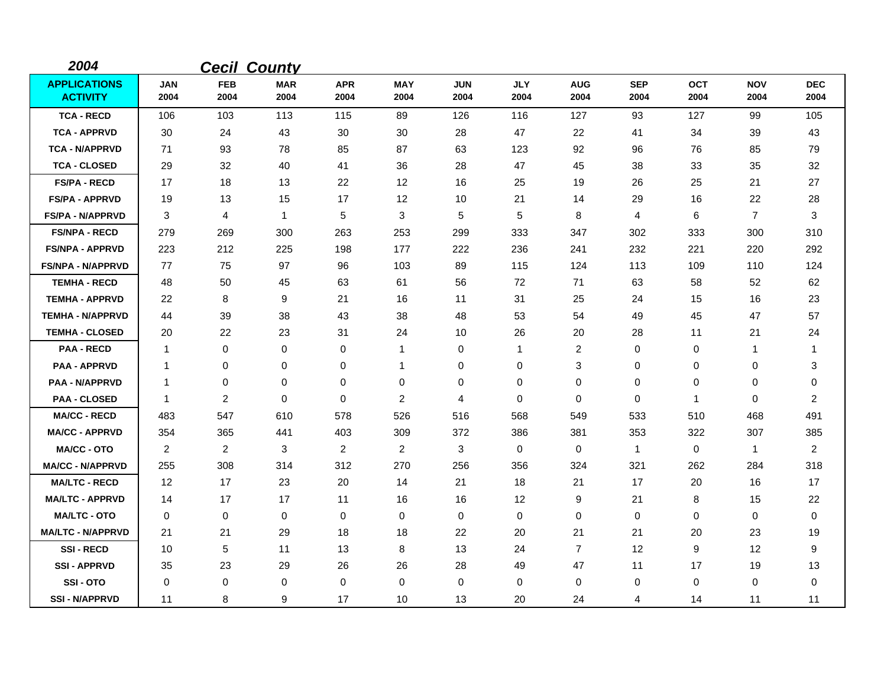| 2004                                   |                |                    | <b>Cecil County</b> |                    |                    |                    |                    |                    |                    |                    |                    |                    |
|----------------------------------------|----------------|--------------------|---------------------|--------------------|--------------------|--------------------|--------------------|--------------------|--------------------|--------------------|--------------------|--------------------|
| <b>APPLICATIONS</b><br><b>ACTIVITY</b> | JAN<br>2004    | <b>FEB</b><br>2004 | <b>MAR</b><br>2004  | <b>APR</b><br>2004 | <b>MAY</b><br>2004 | <b>JUN</b><br>2004 | <b>JLY</b><br>2004 | <b>AUG</b><br>2004 | <b>SEP</b><br>2004 | <b>OCT</b><br>2004 | <b>NOV</b><br>2004 | <b>DEC</b><br>2004 |
| <b>TCA - RECD</b>                      | 106            | 103                | 113                 | 115                | 89                 | 126                | 116                | 127                | 93                 | 127                | 99                 | 105                |
| <b>TCA - APPRVD</b>                    | 30             | 24                 | 43                  | 30                 | 30                 | 28                 | 47                 | 22                 | 41                 | 34                 | 39                 | 43                 |
| <b>TCA - N/APPRVD</b>                  | 71             | 93                 | 78                  | 85                 | 87                 | 63                 | 123                | 92                 | 96                 | 76                 | 85                 | 79                 |
| <b>TCA - CLOSED</b>                    | 29             | 32                 | 40                  | 41                 | 36                 | 28                 | 47                 | 45                 | 38                 | 33                 | 35                 | 32                 |
| <b>FS/PA - RECD</b>                    | 17             | 18                 | 13                  | 22                 | 12                 | 16                 | 25                 | 19                 | 26                 | 25                 | 21                 | 27                 |
| <b>FS/PA - APPRVD</b>                  | 19             | 13                 | 15                  | 17                 | 12                 | 10                 | 21                 | 14                 | 29                 | 16                 | 22                 | 28                 |
| <b>FS/PA - N/APPRVD</b>                | 3              | 4                  | $\mathbf{1}$        | 5                  | 3                  | 5                  | 5                  | 8                  | 4                  | 6                  | $\overline{7}$     | 3                  |
| <b>FS/NPA - RECD</b>                   | 279            | 269                | 300                 | 263                | 253                | 299                | 333                | 347                | 302                | 333                | 300                | 310                |
| <b>FS/NPA - APPRVD</b>                 | 223            | 212                | 225                 | 198                | 177                | 222                | 236                | 241                | 232                | 221                | 220                | 292                |
| <b>FS/NPA - N/APPRVD</b>               | 77             | 75                 | 97                  | 96                 | 103                | 89                 | 115                | 124                | 113                | 109                | 110                | 124                |
| <b>TEMHA - RECD</b>                    | 48             | 50                 | 45                  | 63                 | 61                 | 56                 | 72                 | 71                 | 63                 | 58                 | 52                 | 62                 |
| <b>TEMHA - APPRVD</b>                  | 22             | 8                  | 9                   | 21                 | 16                 | 11                 | 31                 | 25                 | 24                 | 15                 | 16                 | 23                 |
| <b>TEMHA - N/APPRVD</b>                | 44             | 39                 | 38                  | 43                 | 38                 | 48                 | 53                 | 54                 | 49                 | 45                 | 47                 | 57                 |
| <b>TEMHA - CLOSED</b>                  | 20             | 22                 | 23                  | 31                 | 24                 | 10                 | 26                 | 20                 | 28                 | 11                 | 21                 | 24                 |
| <b>PAA - RECD</b>                      | -1             | 0                  | 0                   | 0                  | $\mathbf{1}$       | 0                  | -1                 | 2                  | 0                  | 0                  | 1                  | 1                  |
| <b>PAA - APPRVD</b>                    | $\mathbf 1$    | 0                  | 0                   | 0                  | 1                  | 0                  | 0                  | 3                  | 0                  | 0                  | 0                  | 3                  |
| <b>PAA - N/APPRVD</b>                  | $\mathbf 1$    | 0                  | 0                   | 0                  | 0                  | 0                  | 0                  | 0                  | 0                  | 0                  | 0                  | $\pmb{0}$          |
| <b>PAA - CLOSED</b>                    | $\mathbf{1}$   | 2                  | $\mathbf 0$         | 0                  | $\overline{2}$     | 4                  | $\mathbf 0$        | 0                  | 0                  | $\mathbf{1}$       | 0                  | $\overline{2}$     |
| <b>MA/CC - RECD</b>                    | 483            | 547                | 610                 | 578                | 526                | 516                | 568                | 549                | 533                | 510                | 468                | 491                |
| <b>MA/CC - APPRVD</b>                  | 354            | 365                | 441                 | 403                | 309                | 372                | 386                | 381                | 353                | 322                | 307                | 385                |
| <b>MA/CC - OTO</b>                     | $\overline{2}$ | 2                  | 3                   | $\overline{2}$     | 2                  | 3                  | $\Omega$           | 0                  | $\mathbf{1}$       | $\mathbf 0$        | $\mathbf{1}$       | $\overline{2}$     |
| <b>MA/CC - N/APPRVD</b>                | 255            | 308                | 314                 | 312                | 270                | 256                | 356                | 324                | 321                | 262                | 284                | 318                |
| <b>MA/LTC - RECD</b>                   | 12             | 17                 | 23                  | 20                 | 14                 | 21                 | 18                 | 21                 | 17                 | 20                 | 16                 | 17                 |
| <b>MA/LTC - APPRVD</b>                 | 14             | 17                 | 17                  | 11                 | 16                 | 16                 | 12                 | 9                  | 21                 | 8                  | 15                 | 22                 |
| <b>MA/LTC - OTO</b>                    | 0              | 0                  | 0                   | $\mathbf 0$        | 0                  | $\mathbf 0$        | $\mathbf 0$        | 0                  | 0                  | 0                  | 0                  | 0                  |
| <b>MA/LTC - N/APPRVD</b>               | 21             | 21                 | 29                  | 18                 | 18                 | 22                 | 20                 | 21                 | 21                 | 20                 | 23                 | 19                 |
| <b>SSI-RECD</b>                        | 10             | 5                  | 11                  | 13                 | 8                  | 13                 | 24                 | $\overline{7}$     | 12                 | 9                  | 12                 | 9                  |
| <b>SSI-APPRVD</b>                      | 35             | 23                 | 29                  | 26                 | 26                 | 28                 | 49                 | 47                 | 11                 | 17                 | 19                 | 13                 |
| SSI-OTO                                | 0              | 0                  | 0                   | 0                  | 0                  | 0                  | $\Omega$           | 0                  | 0                  | 0                  | 0                  | $\mathbf 0$        |
| <b>SSI-N/APPRVD</b>                    | 11             | 8                  | 9                   | 17                 | 10                 | 13                 | 20                 | 24                 | 4                  | 14                 | 11                 | 11                 |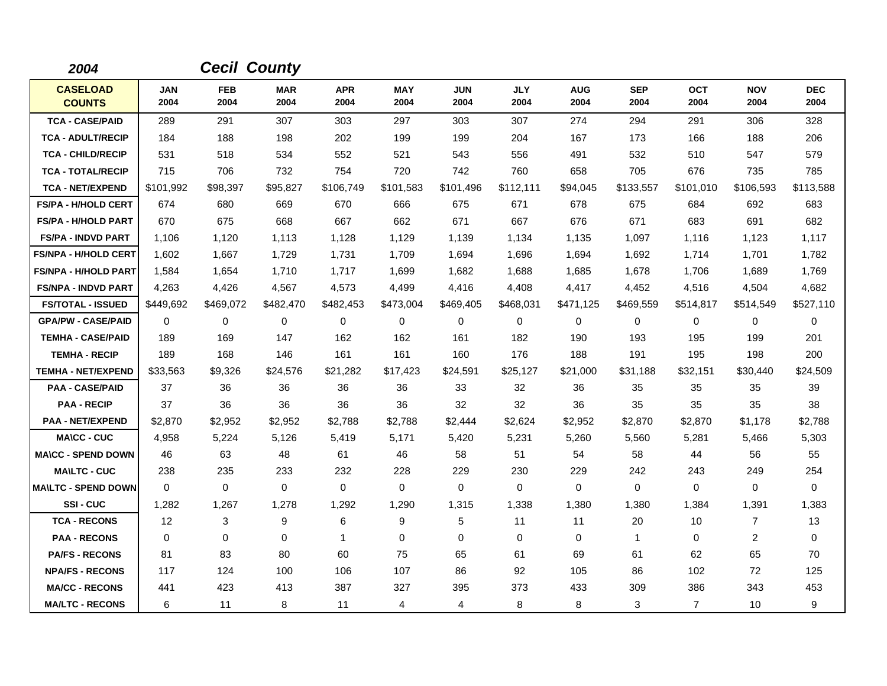| 2004                             |                    |                    | <b>Cecil County</b> |                    |                    |                    |                    |                    |                      |                    |                    |                    |
|----------------------------------|--------------------|--------------------|---------------------|--------------------|--------------------|--------------------|--------------------|--------------------|----------------------|--------------------|--------------------|--------------------|
| <b>CASELOAD</b><br><b>COUNTS</b> | <b>JAN</b><br>2004 | <b>FEB</b><br>2004 | <b>MAR</b><br>2004  | <b>APR</b><br>2004 | <b>MAY</b><br>2004 | <b>JUN</b><br>2004 | <b>JLY</b><br>2004 | <b>AUG</b><br>2004 | <b>SEP</b><br>2004   | <b>OCT</b><br>2004 | <b>NOV</b><br>2004 | <b>DEC</b><br>2004 |
| <b>TCA - CASE/PAID</b>           | 289                | 291                | 307                 | 303                | 297                | 303                | 307                | 274                | 294                  | 291                | 306                | 328                |
| <b>TCA - ADULT/RECIP</b>         | 184                | 188                | 198                 | 202                | 199                | 199                | 204                | 167                | 173                  | 166                | 188                | 206                |
| <b>TCA - CHILD/RECIP</b>         | 531                | 518                | 534                 | 552                | 521                | 543                | 556                | 491                | 532                  | 510                | 547                | 579                |
| <b>TCA - TOTAL/RECIP</b>         | 715                | 706                | 732                 | 754                | 720                | 742                | 760                | 658                | 705                  | 676                | 735                | 785                |
| <b>TCA - NET/EXPEND</b>          | \$101,992          | \$98,397           | \$95,827            | \$106,749          | \$101,583          | \$101,496          | \$112,111          | \$94,045           | \$133,557            | \$101,010          | \$106,593          | \$113,588          |
| <b>FS/PA - H/HOLD CERT</b>       | 674                | 680                | 669                 | 670                | 666                | 675                | 671                | 678                | 675                  | 684                | 692                | 683                |
| <b>FS/PA - H/HOLD PART</b>       | 670                | 675                | 668                 | 667                | 662                | 671                | 667                | 676                | 671                  | 683                | 691                | 682                |
| <b>FS/PA - INDVD PART</b>        | 1,106              | 1,120              | 1,113               | 1,128              | 1,129              | 1,139              | 1,134              | 1,135              | 1,097                | 1,116              | 1,123              | 1,117              |
| <b>FS/NPA - H/HOLD CERT</b>      | 1,602              | 1,667              | 1,729               | 1,731              | 1,709              | 1,694              | 1,696              | 1,694              | 1,692                | 1,714              | 1,701              | 1,782              |
| <b>FS/NPA - H/HOLD PART</b>      | 1,584              | 1,654              | 1,710               | 1,717              | 1,699              | 1,682              | 1,688              | 1,685              | 1,678                | 1,706              | 1,689              | 1,769              |
| <b>FS/NPA - INDVD PART</b>       | 4,263              | 4,426              | 4,567               | 4,573              | 4,499              | 4,416              | 4,408              | 4,417              | 4,452                | 4,516              | 4,504              | 4,682              |
| <b>FS/TOTAL - ISSUED</b>         | \$449,692          | \$469,072          | \$482,470           | \$482,453          | \$473,004          | \$469,405          | \$468,031          | \$471,125          | \$469,559            | \$514,817          | \$514,549          | \$527,110          |
| <b>GPA/PW - CASE/PAID</b>        | 0                  | 0                  | 0                   | 0                  | $\mathbf 0$        | 0                  | 0                  | 0                  | 0                    | 0                  | 0                  | 0                  |
| <b>TEMHA - CASE/PAID</b>         | 189                | 169                | 147                 | 162                | 162                | 161                | 182                | 190                | 193                  | 195                | 199                | 201                |
| <b>TEMHA - RECIP</b>             | 189                | 168                | 146                 | 161                | 161                | 160                | 176                | 188                | 191                  | 195                | 198                | 200                |
| <b>TEMHA - NET/EXPEND</b>        | \$33,563           | \$9,326            | \$24,576            | \$21,282           | \$17,423           | \$24,591           | \$25,127           | \$21,000           | \$31,188             | \$32,151           | \$30,440           | \$24,509           |
| <b>PAA - CASE/PAID</b>           | 37                 | 36                 | 36                  | 36                 | 36                 | 33                 | 32                 | 36                 | 35                   | 35                 | 35                 | 39                 |
| <b>PAA - RECIP</b>               | 37                 | 36                 | 36                  | 36                 | 36                 | 32                 | 32                 | 36                 | 35                   | 35                 | 35                 | 38                 |
| <b>PAA - NET/EXPEND</b>          | \$2,870            | \$2,952            | \$2,952             | \$2,788            | \$2,788            | \$2,444            | \$2,624            | \$2,952            | \$2,870              | \$2,870            | \$1,178            | \$2,788            |
| <b>MA\CC - CUC</b>               | 4.958              | 5,224              | 5,126               | 5,419              | 5,171              | 5,420              | 5,231              | 5,260              | 5,560                | 5,281              | 5,466              | 5,303              |
| <b>MA\CC - SPEND DOWN</b>        | 46                 | 63                 | 48                  | 61                 | 46                 | 58                 | 51                 | 54                 | 58                   | 44                 | 56                 | 55                 |
| <b>MA\LTC - CUC</b>              | 238                | 235                | 233                 | 232                | 228                | 229                | 230                | 229                | 242                  | 243                | 249                | 254                |
| <b>MAILTC - SPEND DOWN</b>       | $\Omega$           | $\Omega$           | 0                   | $\Omega$           | $\Omega$           | 0                  | $\Omega$           | 0                  | $\Omega$             | $\Omega$           | 0                  | $\Omega$           |
| SSI-CUC                          | 1,282              | 1,267              | 1,278               | 1,292              | 1,290              | 1,315              | 1,338              | 1,380              | 1,380                | 1,384              | 1,391              | 1,383              |
| <b>TCA - RECONS</b>              | $12 \overline{ }$  | 3                  | 9                   | 6                  | 9                  | 5                  | 11                 | 11                 | 20                   | 10                 | $\overline{7}$     | 13                 |
| <b>PAA - RECONS</b>              | 0                  | 0                  | $\mathbf 0$         | $\mathbf{1}$       | $\mathbf 0$        | $\mathbf 0$        | $\mathbf 0$        | 0                  | $\blacktriangleleft$ | 0                  | 2                  | 0                  |
| <b>PA/FS - RECONS</b>            | 81                 | 83                 | 80                  | 60                 | 75                 | 65                 | 61                 | 69                 | 61                   | 62                 | 65                 | 70                 |
| <b>NPA/FS - RECONS</b>           | 117                | 124                | 100                 | 106                | 107                | 86                 | 92                 | 105                | 86                   | 102                | 72                 | 125                |
| <b>MA/CC - RECONS</b>            | 441                | 423                | 413                 | 387                | 327                | 395                | 373                | 433                | 309                  | 386                | 343                | 453                |
| <b>MA/LTC - RECONS</b>           | 6                  | 11                 | 8                   | 11                 | 4                  | 4                  | 8                  | 8                  | 3                    | $\overline{7}$     | 10                 | 9                  |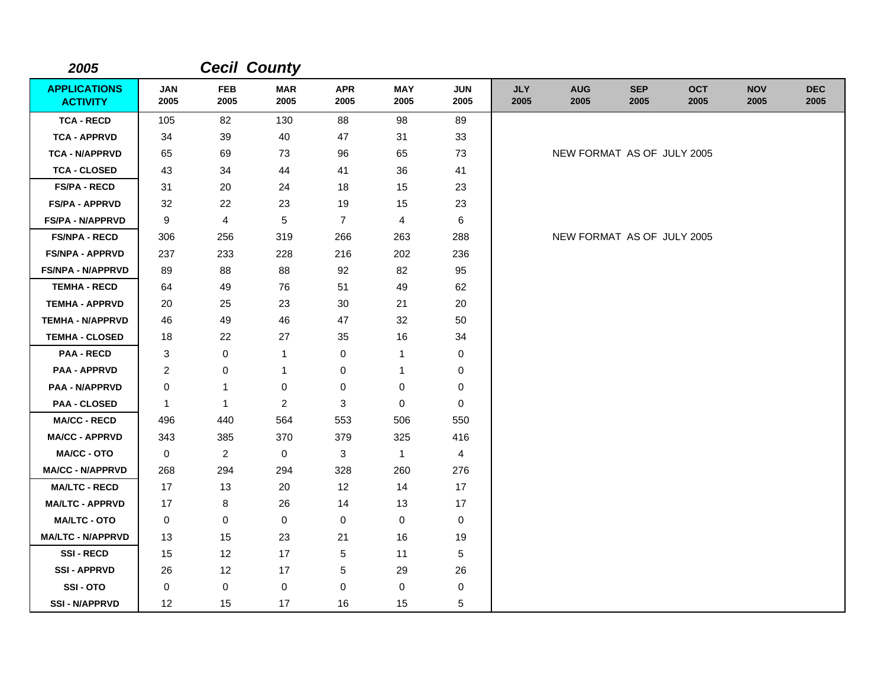| 2005                                   |                    |                    | <b>Cecil County</b> |                    |                    |                    |                    |                            |                    |                    |                    |                    |
|----------------------------------------|--------------------|--------------------|---------------------|--------------------|--------------------|--------------------|--------------------|----------------------------|--------------------|--------------------|--------------------|--------------------|
| <b>APPLICATIONS</b><br><b>ACTIVITY</b> | <b>JAN</b><br>2005 | <b>FEB</b><br>2005 | <b>MAR</b><br>2005  | <b>APR</b><br>2005 | <b>MAY</b><br>2005 | <b>JUN</b><br>2005 | <b>JLY</b><br>2005 | <b>AUG</b><br>2005         | <b>SEP</b><br>2005 | <b>OCT</b><br>2005 | <b>NOV</b><br>2005 | <b>DEC</b><br>2005 |
| <b>TCA - RECD</b>                      | 105                | 82                 | 130                 | 88                 | 98                 | 89                 |                    |                            |                    |                    |                    |                    |
| <b>TCA - APPRVD</b>                    | 34                 | 39                 | 40                  | 47                 | 31                 | 33                 |                    |                            |                    |                    |                    |                    |
| <b>TCA - N/APPRVD</b>                  | 65                 | 69                 | 73                  | 96                 | 65                 | 73                 |                    | NEW FORMAT AS OF JULY 2005 |                    |                    |                    |                    |
| <b>TCA - CLOSED</b>                    | 43                 | 34                 | 44                  | 41                 | 36                 | 41                 |                    |                            |                    |                    |                    |                    |
| <b>FS/PA - RECD</b>                    | 31                 | 20                 | 24                  | 18                 | 15                 | 23                 |                    |                            |                    |                    |                    |                    |
| <b>FS/PA - APPRVD</b>                  | 32                 | 22                 | 23                  | 19                 | 15                 | 23                 |                    |                            |                    |                    |                    |                    |
| <b>FS/PA - N/APPRVD</b>                | 9                  | 4                  | 5                   | $\overline{7}$     | 4                  | $\,6$              |                    |                            |                    |                    |                    |                    |
| <b>FS/NPA - RECD</b>                   | 306                | 256                | 319                 | 266                | 263                | 288                |                    | NEW FORMAT AS OF JULY 2005 |                    |                    |                    |                    |
| <b>FS/NPA - APPRVD</b>                 | 237                | 233                | 228                 | 216                | 202                | 236                |                    |                            |                    |                    |                    |                    |
| <b>FS/NPA - N/APPRVD</b>               | 89                 | 88                 | 88                  | 92                 | 82                 | 95                 |                    |                            |                    |                    |                    |                    |
| <b>TEMHA - RECD</b>                    | 64                 | 49                 | 76                  | 51                 | 49                 | 62                 |                    |                            |                    |                    |                    |                    |
| <b>TEMHA - APPRVD</b>                  | 20                 | 25                 | 23                  | 30                 | 21                 | 20                 |                    |                            |                    |                    |                    |                    |
| <b>TEMHA - N/APPRVD</b>                | 46                 | 49                 | 46                  | 47                 | 32                 | 50                 |                    |                            |                    |                    |                    |                    |
| <b>TEMHA - CLOSED</b>                  | 18                 | 22                 | 27                  | 35                 | 16                 | 34                 |                    |                            |                    |                    |                    |                    |
| <b>PAA - RECD</b>                      | 3                  | $\pmb{0}$          | $\mathbf{1}$        | $\pmb{0}$          | $\mathbf{1}$       | $\pmb{0}$          |                    |                            |                    |                    |                    |                    |
| <b>PAA - APPRVD</b>                    | $\overline{c}$     | $\pmb{0}$          | $\mathbf{1}$        | $\pmb{0}$          | 1                  | 0                  |                    |                            |                    |                    |                    |                    |
| <b>PAA - N/APPRVD</b>                  | 0                  | $\mathbf{1}$       | $\pmb{0}$           | $\mathbf 0$        | 0                  | $\mathbf 0$        |                    |                            |                    |                    |                    |                    |
| <b>PAA - CLOSED</b>                    | $\mathbf{1}$       | $\mathbf{1}$       | $\overline{2}$      | 3                  | 0                  | 0                  |                    |                            |                    |                    |                    |                    |
| <b>MA/CC - RECD</b>                    | 496                | 440                | 564                 | 553                | 506                | 550                |                    |                            |                    |                    |                    |                    |
| <b>MA/CC - APPRVD</b>                  | 343                | 385                | 370                 | 379                | 325                | 416                |                    |                            |                    |                    |                    |                    |
| <b>MA/CC - OTO</b>                     | 0                  | $\overline{2}$     | $\mathbf 0$         | 3                  | $\mathbf{1}$       | 4                  |                    |                            |                    |                    |                    |                    |
| <b>MA/CC - N/APPRVD</b>                | 268                | 294                | 294                 | 328                | 260                | 276                |                    |                            |                    |                    |                    |                    |
| <b>MA/LTC - RECD</b>                   | 17                 | 13                 | 20                  | 12                 | 14                 | 17                 |                    |                            |                    |                    |                    |                    |
| <b>MA/LTC - APPRVD</b>                 | 17                 | 8                  | 26                  | 14                 | 13                 | 17                 |                    |                            |                    |                    |                    |                    |
| <b>MA/LTC - OTO</b>                    | 0                  | 0                  | $\mathbf 0$         | 0                  | 0                  | 0                  |                    |                            |                    |                    |                    |                    |
| <b>MA/LTC - N/APPRVD</b>               | 13                 | 15                 | 23                  | 21                 | 16                 | 19                 |                    |                            |                    |                    |                    |                    |
| <b>SSI-RECD</b>                        | 15                 | 12                 | 17                  | 5                  | 11                 | 5                  |                    |                            |                    |                    |                    |                    |
| <b>SSI-APPRVD</b>                      | 26                 | 12                 | 17                  | 5                  | 29                 | 26                 |                    |                            |                    |                    |                    |                    |
| SSI-OTO                                | 0                  | $\pmb{0}$          | $\mathbf 0$         | $\mathbf 0$        | 0                  | 0                  |                    |                            |                    |                    |                    |                    |
| <b>SSI - N/APPRVD</b>                  | 12                 | 15                 | 17                  | 16                 | 15                 | 5                  |                    |                            |                    |                    |                    |                    |